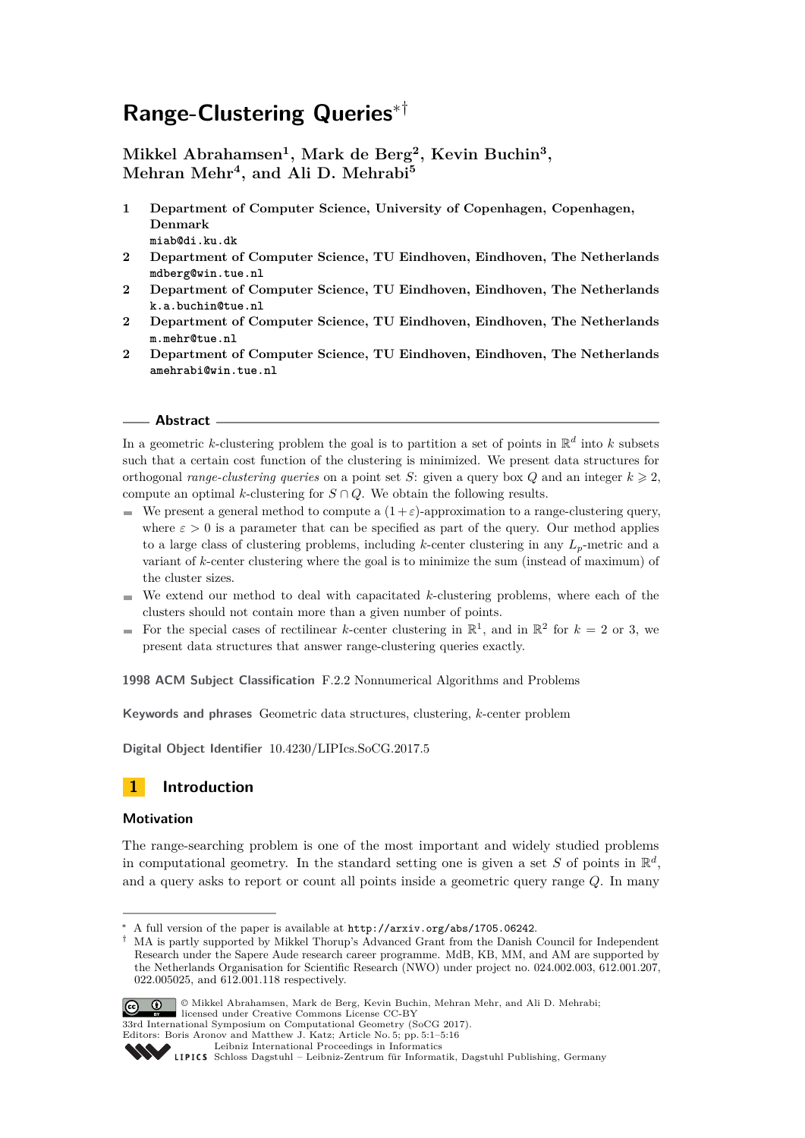# **Range-Clustering Queries**∗†

**Mikkel Abrahamsen<sup>1</sup> , Mark de Berg<sup>2</sup> , Kevin Buchin<sup>3</sup> , Mehran Mehr<sup>4</sup> , and Ali D. Mehrabi<sup>5</sup>**

- **1 Department of Computer Science, University of Copenhagen, Copenhagen, Denmark miab@di.ku.dk**
- **2 Department of Computer Science, TU Eindhoven, Eindhoven, The Netherlands mdberg@win.tue.nl**
- **2 Department of Computer Science, TU Eindhoven, Eindhoven, The Netherlands k.a.buchin@tue.nl**
- **2 Department of Computer Science, TU Eindhoven, Eindhoven, The Netherlands m.mehr@tue.nl**
- **2 Department of Computer Science, TU Eindhoven, Eindhoven, The Netherlands amehrabi@win.tue.nl**

#### **Abstract**

In a geometric k-clustering problem the goal is to partition a set of points in  $\mathbb{R}^d$  into k subsets such that a certain cost function of the clustering is minimized. We present data structures for orthogonal *range-clustering queries* on a point set *S*: given a query box *Q* and an integer  $k \ge 2$ , compute an optimal *k*-clustering for  $S \cap Q$ . We obtain the following results.

- We present a general method to compute a  $(1+\varepsilon)$ -approximation to a range-clustering query, where  $\varepsilon > 0$  is a parameter that can be specified as part of the query. Our method applies to a large class of clustering problems, including *k*-center clustering in any *Lp*-metric and a variant of *k*-center clustering where the goal is to minimize the sum (instead of maximum) of the cluster sizes.
- $\blacksquare$  We extend our method to deal with capacitated *k*-clustering problems, where each of the clusters should not contain more than a given number of points.
- For the special cases of rectilinear *k*-center clustering in  $\mathbb{R}^1$ , and in  $\mathbb{R}^2$  for  $k = 2$  or 3, we present data structures that answer range-clustering queries exactly.

**1998 ACM Subject Classification** F.2.2 Nonnumerical Algorithms and Problems

**Keywords and phrases** Geometric data structures, clustering, *k*-center problem

**Digital Object Identifier** [10.4230/LIPIcs.SoCG.2017.5](http://dx.doi.org/10.4230/LIPIcs.SoCG.2017.5)



#### **Motivation**

The range-searching problem is one of the most important and widely studied problems in computational geometry. In the standard setting one is given a set *S* of points in  $\mathbb{R}^d$ , and a query asks to report or count all points inside a geometric query range *Q*. In many

<sup>†</sup> MA is partly supported by Mikkel Thorup's Advanced Grant from the Danish Council for Independent Research under the Sapere Aude research career programme. MdB, KB, MM, and AM are supported by the Netherlands Organisation for Scientific Research (NWO) under project no. 024.002.003, 612.001.207, 022.005025, and 612.001.118 respectively.



© Mikkel Abrahamsen, Mark de Berg, Kevin Buchin, Mehran Mehr, and Ali D. Mehrabi; licensed under Creative Commons License CC-BY

33rd International Symposium on Computational Geometry (SoCG 2017).

Editors: Boris Aronov and Matthew J. Katz; Article No. 5; pp. 5:1–5[:16](#page-15-0) [Leibniz International Proceedings in Informatics](http://www.dagstuhl.de/lipics/)

<sup>∗</sup> A full version of the paper is available at <http://arxiv.org/abs/1705.06242>.

Leibniz International Froceedings in Informatik, Dagstuhl Publishing, Germany<br>LIPICS [Schloss Dagstuhl – Leibniz-Zentrum für Informatik, Dagstuhl Publishing, Germany](http://www.dagstuhl.de)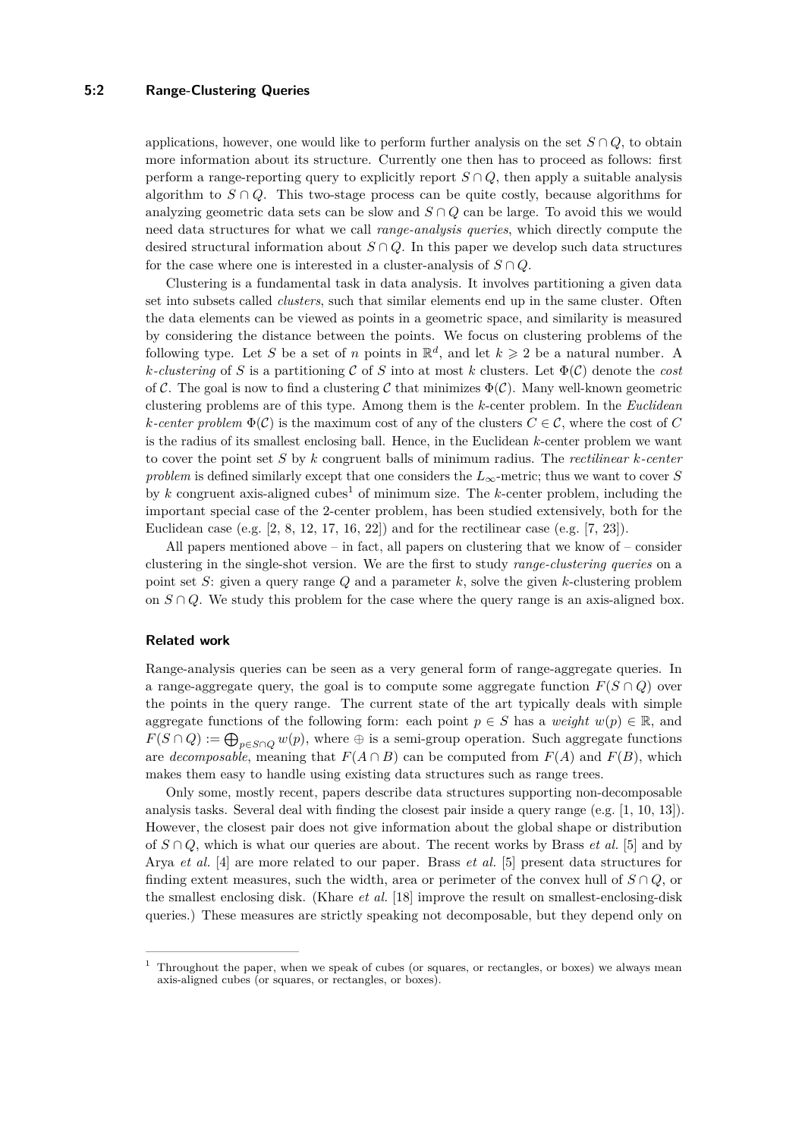#### **5:2 Range-Clustering Queries**

applications, however, one would like to perform further analysis on the set  $S \cap Q$ , to obtain more information about its structure. Currently one then has to proceed as follows: first perform a range-reporting query to explicitly report  $S \cap Q$ , then apply a suitable analysis algorithm to  $S \cap Q$ . This two-stage process can be quite costly, because algorithms for analyzing geometric data sets can be slow and  $S \cap Q$  can be large. To avoid this we would need data structures for what we call *range-analysis queries*, which directly compute the desired structural information about  $S \cap Q$ . In this paper we develop such data structures for the case where one is interested in a cluster-analysis of  $S \cap Q$ .

Clustering is a fundamental task in data analysis. It involves partitioning a given data set into subsets called *clusters*, such that similar elements end up in the same cluster. Often the data elements can be viewed as points in a geometric space, and similarity is measured by considering the distance between the points. We focus on clustering problems of the following type. Let S be a set of *n* points in  $\mathbb{R}^d$ , and let  $k \geq 2$  be a natural number. A  $k$ -clustering of *S* is a partitioning C of *S* into at most k clusters. Let  $\Phi(\mathcal{C})$  denote the *cost* of C. The goal is now to find a clustering C that minimizes  $\Phi(\mathcal{C})$ . Many well-known geometric clustering problems are of this type. Among them is the *k*-center problem. In the *Euclidean k*-center problem  $\Phi(\mathcal{C})$  is the maximum cost of any of the clusters  $C \in \mathcal{C}$ , where the cost of  $C$ is the radius of its smallest enclosing ball. Hence, in the Euclidean *k*-center problem we want to cover the point set *S* by *k* congruent balls of minimum radius. The *rectilinear k-center problem* is defined similarly except that one considers the *L*∞-metric; thus we want to cover *S* by *k* congruent axis-aligned cubes[1](#page-1-0) of minimum size. The *k*-center problem, including the important special case of the 2-center problem, has been studied extensively, both for the Euclidean case (e.g. [\[2,](#page-14-0) [8,](#page-14-1) [12,](#page-14-2) [17,](#page-14-3) [16,](#page-14-4) [22\]](#page-15-1)) and for the rectilinear case (e.g. [\[7,](#page-14-5) [23\]](#page-15-2)).

All papers mentioned above – in fact, all papers on clustering that we know of – consider clustering in the single-shot version. We are the first to study *range-clustering queries* on a point set *S*: given a query range *Q* and a parameter *k*, solve the given *k*-clustering problem on  $S \cap Q$ . We study this problem for the case where the query range is an axis-aligned box.

#### **Related work**

Range-analysis queries can be seen as a very general form of range-aggregate queries. In a range-aggregate query, the goal is to compute some aggregate function  $F(S \cap Q)$  over the points in the query range. The current state of the art typically deals with simple aggregate functions of the following form: each point  $p \in S$  has a *weight*  $w(p) \in \mathbb{R}$ , and  $F(S \cap Q) := \bigoplus_{p \in S \cap Q} w(p)$ , where  $\oplus$  is a semi-group operation. Such aggregate functions are *decomposable*, meaning that  $F(A \cap B)$  can be computed from  $F(A)$  and  $F(B)$ , which makes them easy to handle using existing data structures such as range trees.

Only some, mostly recent, papers describe data structures supporting non-decomposable analysis tasks. Several deal with finding the closest pair inside a query range (e.g. [\[1,](#page-14-6) [10,](#page-14-7) [13\]](#page-14-8)). However, the closest pair does not give information about the global shape or distribution of *S* ∩ *Q*, which is what our queries are about. The recent works by Brass *et al.* [\[5\]](#page-14-9) and by Arya *et al.* [\[4\]](#page-14-10) are more related to our paper. Brass *et al.* [\[5\]](#page-14-9) present data structures for finding extent measures, such the width, area or perimeter of the convex hull of  $S \cap Q$ , or the smallest enclosing disk. (Khare *et al.* [\[18\]](#page-15-3) improve the result on smallest-enclosing-disk queries.) These measures are strictly speaking not decomposable, but they depend only on

<span id="page-1-0"></span><sup>&</sup>lt;sup>1</sup> Throughout the paper, when we speak of cubes (or squares, or rectangles, or boxes) we always mean axis-aligned cubes (or squares, or rectangles, or boxes).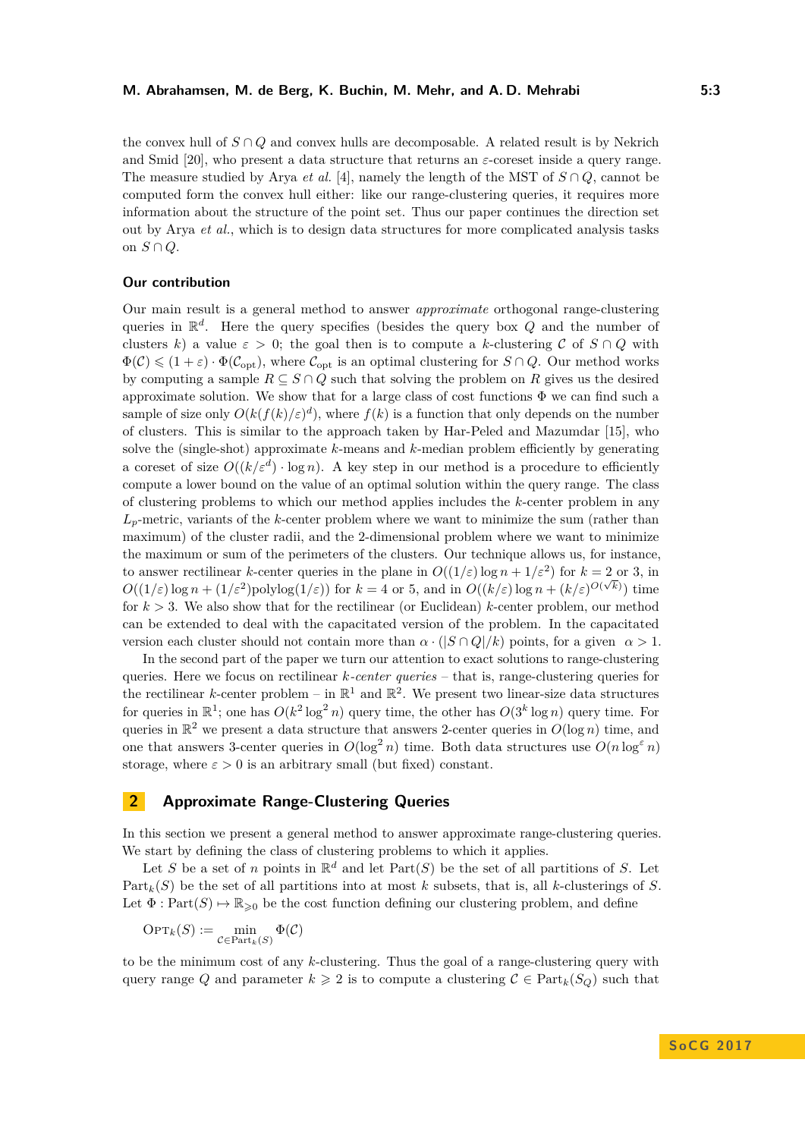the convex hull of  $S \cap Q$  and convex hulls are decomposable. A related result is by Nekrich and Smid [\[20\]](#page-15-4), who present a data structure that returns an  $\varepsilon$ -coreset inside a query range. The measure studied by Arya *et al.* [\[4\]](#page-14-10), namely the length of the MST of  $S \cap Q$ , cannot be computed form the convex hull either: like our range-clustering queries, it requires more information about the structure of the point set. Thus our paper continues the direction set out by Arya *et al.*, which is to design data structures for more complicated analysis tasks on *S* ∩ *Q*.

#### **Our contribution**

Our main result is a general method to answer *approximate* orthogonal range-clustering queries in R *d* . Here the query specifies (besides the query box *Q* and the number of clusters *k*) a value  $\varepsilon > 0$ ; the goal then is to compute a *k*-clustering C of  $S \cap Q$  with  $\Phi(\mathcal{C}) \leq (1+\varepsilon) \cdot \Phi(\mathcal{C}_{\text{opt}})$ , where  $\mathcal{C}_{\text{opt}}$  is an optimal clustering for  $S \cap Q$ . Our method works by computing a sample  $R \subseteq S \cap Q$  such that solving the problem on R gives us the desired approximate solution. We show that for a large class of cost functions  $\Phi$  we can find such a sample of size only  $O(k(f(k)/\varepsilon)^d)$ , where  $f(k)$  is a function that only depends on the number of clusters. This is similar to the approach taken by Har-Peled and Mazumdar [\[15\]](#page-14-11), who solve the (single-shot) approximate *k*-means and *k*-median problem efficiently by generating a coreset of size  $O((k/\varepsilon^d) \cdot \log n)$ . A key step in our method is a procedure to efficiently compute a lower bound on the value of an optimal solution within the query range. The class of clustering problems to which our method applies includes the *k*-center problem in any *Lp*-metric, variants of the *k*-center problem where we want to minimize the sum (rather than maximum) of the cluster radii, and the 2-dimensional problem where we want to minimize the maximum or sum of the perimeters of the clusters. Our technique allows us, for instance, to answer rectilinear *k*-center queries in the plane in  $O((1/\varepsilon) \log n + 1/\varepsilon^2)$  for  $k = 2$  or 3, in  $O((1/\varepsilon) \log n + (1/\varepsilon^2) \text{polylog}(1/\varepsilon))$  for  $k = 4$  or 5, and in  $O((k/\varepsilon) \log n + (k/\varepsilon)^{O(\sqrt{k})})$  time for  $k > 3$ . We also show that for the rectilinear (or Euclidean) *k*-center problem, our method can be extended to deal with the capacitated version of the problem. In the capacitated version each cluster should not contain more than  $\alpha \cdot (|S \cap Q|/k)$  points, for a given  $\alpha > 1$ .

In the second part of the paper we turn our attention to exact solutions to range-clustering queries. Here we focus on rectilinear *k-center queries* – that is, range-clustering queries for the rectilinear *k*-center problem – in  $\mathbb{R}^1$  and  $\mathbb{R}^2$ . We present two linear-size data structures for queries in  $\mathbb{R}^1$ ; one has  $O(k^2 \log^2 n)$  query time, the other has  $O(3^k \log n)$  query time. For queries in  $\mathbb{R}^2$  we present a data structure that answers 2-center queries in  $O(\log n)$  time, and one that answers 3-center queries in  $O(\log^2 n)$  time. Both data structures use  $O(n \log^{\epsilon} n)$ storage, where  $\varepsilon > 0$  is an arbitrary small (but fixed) constant.

### **2 Approximate Range-Clustering Queries**

In this section we present a general method to answer approximate range-clustering queries. We start by defining the class of clustering problems to which it applies.

Let *S* be a set of *n* points in  $\mathbb{R}^d$  and let  $Part(S)$  be the set of all partitions of *S*. Let Part $_k(S)$  be the set of all partitions into at most *k* subsets, that is, all *k*-clusterings of *S*. Let  $\Phi : Part(S) \to \mathbb{R}_{\geq 0}$  be the cost function defining our clustering problem, and define

$$
\textnormal{OPT}_k(S) := \min_{\mathcal{C} \in \textnormal{Part}_k(S)} \Phi(\mathcal{C})
$$

to be the minimum cost of any *k*-clustering. Thus the goal of a range-clustering query with query range *Q* and parameter  $k \geq 2$  is to compute a clustering  $C \in \text{Part}_k(S_Q)$  such that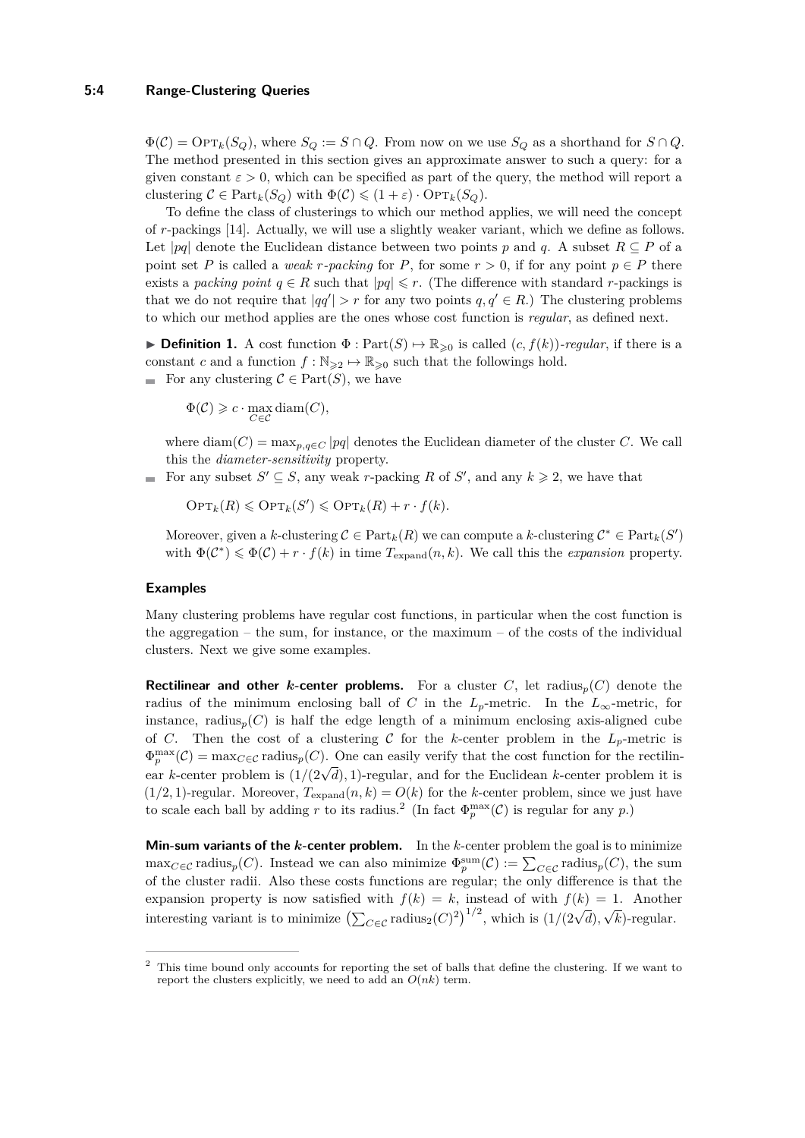#### **5:4 Range-Clustering Queries**

 $\Phi(\mathcal{C}) = \text{Opt}_{k}(S_Q)$ , where  $S_Q := S \cap Q$ . From now on we use  $S_Q$  as a shorthand for  $S \cap Q$ . The method presented in this section gives an approximate answer to such a query: for a given constant  $\varepsilon > 0$ , which can be specified as part of the query, the method will report a clustering  $C \in \text{Part}_k(S_Q)$  with  $\Phi(C) \leq (1 + \varepsilon) \cdot \text{OPT}_k(S_Q)$ .

To define the class of clusterings to which our method applies, we will need the concept of *r*-packings [\[14\]](#page-14-12). Actually, we will use a slightly weaker variant, which we define as follows. Let  $|pq|$  denote the Euclidean distance between two points *p* and *q*. A subset  $R \subseteq P$  of a point set *P* is called a *weak r*-packing for *P*, for some  $r > 0$ , if for any point  $p \in P$  there exists a *packing point*  $q \in R$  such that  $|pq| \leq r$ . (The difference with standard *r*-packings is that we do not require that  $|qq'| > r$  for any two points  $q, q' \in R$ .) The clustering problems to which our method applies are the ones whose cost function is *regular*, as defined next.

**▶ Definition 1.** A cost function  $\Phi$  :  $Part(S) \mapsto \mathbb{R}_{\geq 0}$  is called  $(c, f(k))$ *-regular*, if there is a constant *c* and a function  $f : \mathbb{N}_{\geq 2} \to \mathbb{R}_{\geq 0}$  such that the followings hold.

For any clustering  $C \in Part(S)$ , we have

 $\Phi(\mathcal{C}) \geqslant c \cdot \max_{C \in \mathcal{C}} \text{diam}(C),$ 

where  $\text{diam}(C) = \max_{p,q \in C} |pq|$  denotes the Euclidean diameter of the cluster *C*. We call this the *diameter-sensitivity* property.

For any subset  $S' \subseteq S$ , any weak *r*-packing R of S', and any  $k \geq 2$ , we have that

 $\text{OPT}_k(R) \leqslant \text{OPT}_k(S') \leqslant \text{OPT}_k(R) + r \cdot f(k).$ 

Moreover, given a *k*-clustering  $C \in \text{Part}_k(R)$  we can compute a *k*-clustering  $C^* \in \text{Part}_k(S')$ with  $\Phi(\mathcal{C}^*) \leq \Phi(\mathcal{C}) + r \cdot f(k)$  in time  $T_{\text{expand}}(n,k)$ . We call this the *expansion* property.

#### **Examples**

Many clustering problems have regular cost functions, in particular when the cost function is the aggregation – the sum, for instance, or the maximum – of the costs of the individual clusters. Next we give some examples.

**Rectilinear and other** *k***-center problems.** For a cluster *C*, let radius<sub>*p*</sub>(*C*) denote the radius of the minimum enclosing ball of *C* in the  $L_p$ -metric. In the  $L_\infty$ -metric, for instance, radius<sub>p</sub> $(C)$  is half the edge length of a minimum enclosing axis-aligned cube of *C*. Then the cost of a clustering *C* for the *k*-center problem in the  $L_p$ -metric is  $\Phi_p^{\max}(\mathcal{C}) = \max_{C \in \mathcal{C}} \text{radius}_p(C)$ . One can easily verify that the cost function for the rectilin- $\mathcal{L}_{p}$  (c) = max $c \in \mathcal{C}$  radius<sub>p</sub>(c). One can easily verify that the cost function for the feeding ear *k*-center problem it is  $(1/2, 1)$ -regular. Moreover,  $T_{\text{expand}}(n, k) = O(k)$  for the *k*-center problem, since we just have to scale each ball by adding r to its radius.<sup>[2](#page-3-0)</sup> (In fact  $\Phi_p^{\max}(\mathcal{C})$  is regular for any p.)

**Min-sum variants of the** *k***-center problem.** In the *k*-center problem the goal is to minimize  $\max_{C \in \mathcal{C}} \text{radius}_p(C)$ . Instead we can also minimize  $\Phi_p^{\text{sum}}(\mathcal{C}) := \sum_{C \in \mathcal{C}} \text{radius}_p(C)$ , the sum of the cluster radii. Also these costs functions are regular; the only difference is that the expansion property is now satisfied with  $f(k) = k$ , instead of with  $f(k) = 1$ . Another interesting variant is to minimize  $\left(\sum_{C \in \mathcal{C}} \text{radius}_2(C)^2\right)^{1/2}$ , which is  $\left(1/(2\sqrt{d})\right)$ , √ *k*)-regular.

<span id="page-3-0"></span><sup>&</sup>lt;sup>2</sup> This time bound only accounts for reporting the set of balls that define the clustering. If we want to report the clusters explicitly, we need to add an  $O(nk)$  term.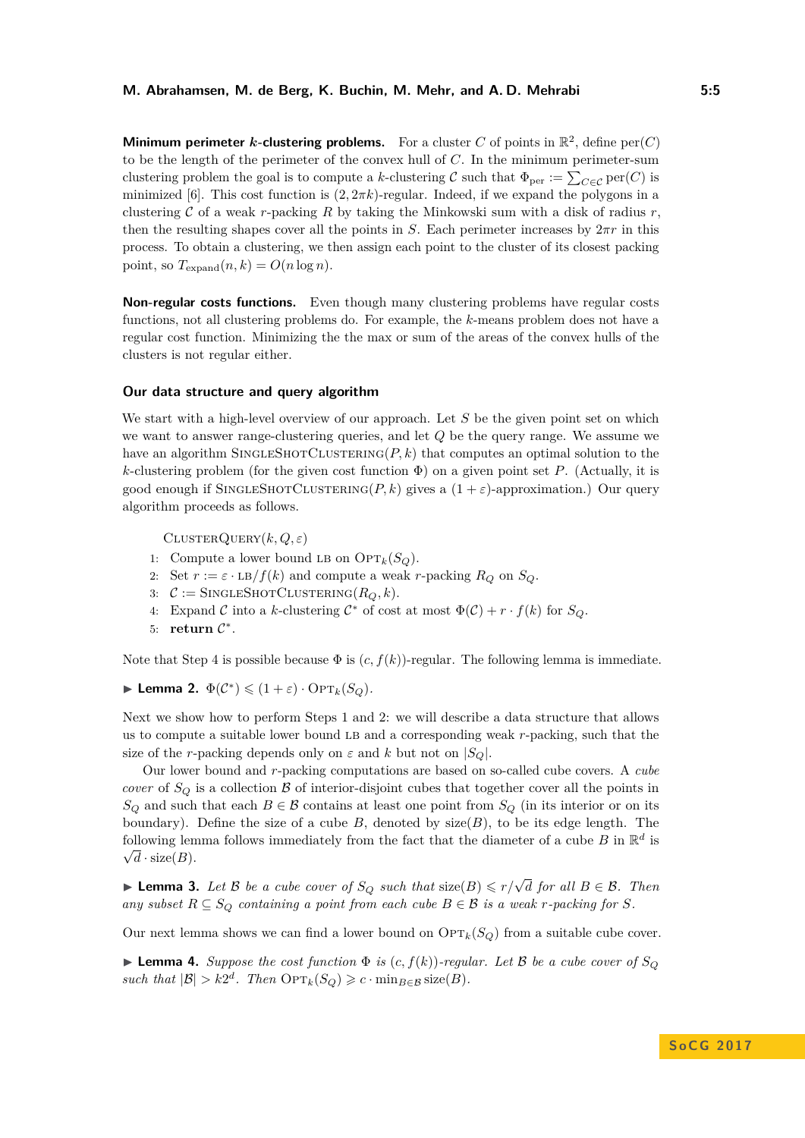**Minimum perimeter k-clustering problems.** For a cluster C of points in  $\mathbb{R}^2$ , define per(C) to be the length of the perimeter of the convex hull of *C*. In the minimum perimeter-sum clustering problem the goal is to compute a *k*-clustering  $C$  such that  $\Phi_{\text{per}} := \sum_{C \in \mathcal{C}} \text{per}(C)$  is minimized [\[6\]](#page-14-13). This cost function is (2*,* 2*πk*)-regular. Indeed, if we expand the polygons in a clustering C of a weak *r*-packing *R* by taking the Minkowski sum with a disk of radius *r*, then the resulting shapes cover all the points in *S*. Each perimeter increases by  $2\pi r$  in this process. To obtain a clustering, we then assign each point to the cluster of its closest packing point, so  $T_{\text{expand}}(n,k) = O(n \log n)$ .

**Non-regular costs functions.** Even though many clustering problems have regular costs functions, not all clustering problems do. For example, the *k*-means problem does not have a regular cost function. Minimizing the the max or sum of the areas of the convex hulls of the clusters is not regular either.

#### <span id="page-4-0"></span>**Our data structure and query algorithm**

We start with a high-level overview of our approach. Let *S* be the given point set on which we want to answer range-clustering queries, and let *Q* be the query range. We assume we have an algorithm SINGLESHOTCLUSTERING( $P, k$ ) that computes an optimal solution to the  $k$ -clustering problem (for the given cost function  $\Phi$ ) on a given point set *P*. (Actually, it is good enough if SINGLESHOTCLUSTERING(*P, k*) gives a  $(1 + ε)$ -approximation.) Our query algorithm proceeds as follows.

 $CLUSTERQUERY(k, Q, \varepsilon)$ 

- 1: Compute a lower bound LB on  $\text{OPT}_k(S_Q)$ .
- 2: Set  $r := \varepsilon \cdot LB/f(k)$  and compute a weak *r*-packing  $R_Q$  on  $S_Q$ .
- 3:  $C :=$  SINGLESHOTCLUSTERING( $R_Q, k$ ).
- 4: Expand C into a k-clustering  $C^*$  of cost at most  $\Phi(C) + r \cdot f(k)$  for  $S_Q$ .
- 5: **return**  $\mathcal{C}^*$ .

Note that Step [4](#page-4-0) is possible because  $\Phi$  is  $(c, f(k))$ -regular. The following lemma is immediate.

<span id="page-4-3"></span>**Example 2.**  $\Phi(\mathcal{C}^*) \leq (1+\varepsilon) \cdot \text{OPT}_k(S_Q)$ .

Next we show how to perform Steps [1](#page-4-0) and [2:](#page-4-0) we will describe a data structure that allows us to compute a suitable lower bound LB and a corresponding weak *r*-packing, such that the size of the *r*-packing depends only on  $\varepsilon$  and  $k$  but not on  $|S_Q|$ .

Our lower bound and *r*-packing computations are based on so-called cube covers. A *cube cover* of  $S_Q$  is a collection  $\beta$  of interior-disjoint cubes that together cover all the points in *S*<sup>*Q*</sup> and such that each *B* ∈ *B* contains at least one point from *S*<sup>*Q*</sup> (in its interior or on its boundary). Define the size of a cube  $B$ , denoted by  $size(B)$ , to be its edge length. The following lemma follows immediately from the fact that the diameter of a cube *B* in  $\mathbb{R}^d$  is  $\sqrt{d} \cdot \text{size}(B)$ .

<span id="page-4-2"></span>**► Lemma 3.** Let B be a cube cover of  $S_Q$  such that  $size(B) \leq r/\sqrt{d}$  for all  $B \in \mathcal{B}$ . Then *any subset*  $R \subseteq S_Q$  *containing a point from each cube*  $B \in \mathcal{B}$  *is a weak r*-packing for *S.* 

Our next lemma shows we can find a lower bound on  $\text{OPT}_k(S_Q)$  from a suitable cube cover.

<span id="page-4-1"></span>**If Lemma 4.** Suppose the cost function  $\Phi$  is  $(c, f(k))$ -regular. Let B be a cube cover of  $S_Q$  $such that$   $|\mathcal{B}| > k2^d$ . Then  $\text{OPT}_k(S_Q) \geqslant c \cdot \min_{B \in \mathcal{B}} \text{size}(B)$ .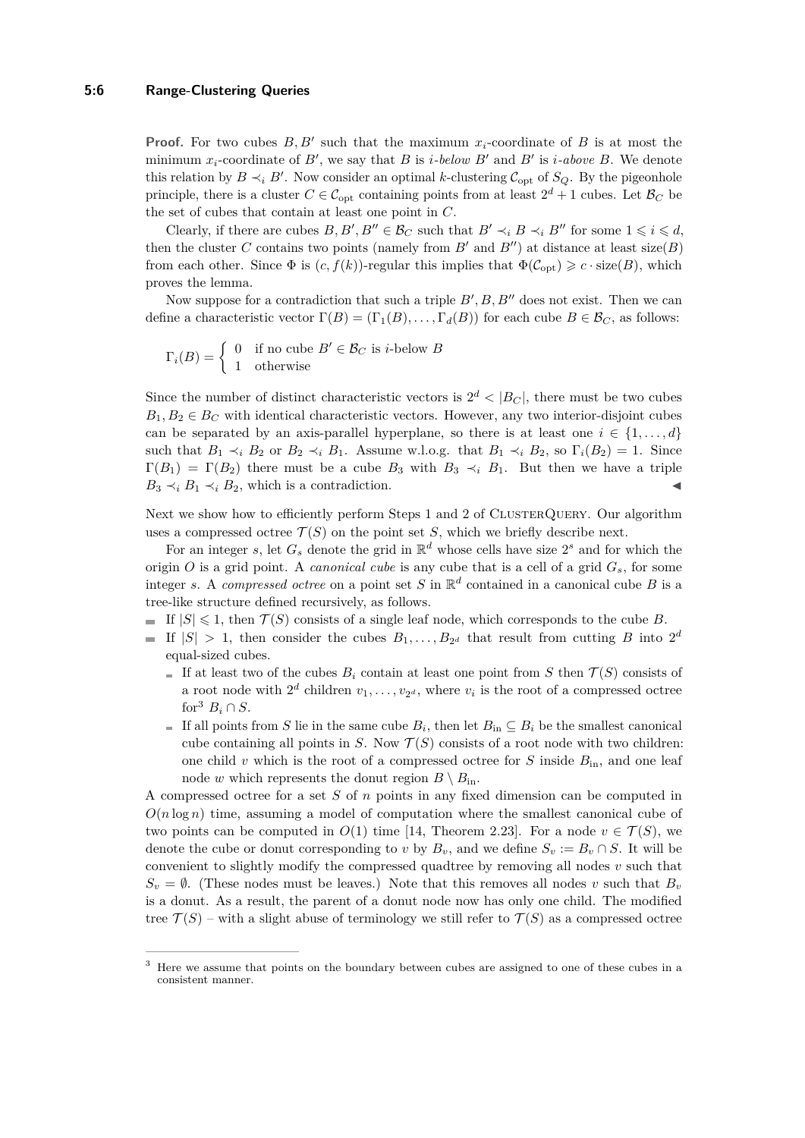#### **5:6 Range-Clustering Queries**

**Proof.** For two cubes  $B, B'$  such that the maximum  $x_i$ -coordinate of  $B$  is at most the minimum  $x_i$ -coordinate of  $B'$ , we say that  $B$  is *i*-below  $B'$  and  $B'$  is *i*-above  $B$ . We denote this relation by  $B \prec_i B'$ . Now consider an optimal *k*-clustering  $C_{opt}$  of  $S_Q$ . By the pigeonhole principle, there is a cluster  $C \in \mathcal{C}_{opt}$  containing points from at least  $2^d + 1$  cubes. Let  $\mathcal{B}_C$  be the set of cubes that contain at least one point in *C*.

Clearly, if there are cubes  $B, B', B'' \in \mathcal{B}_C$  such that  $B' \prec_i B \prec_i B''$  for some  $1 \leq i \leq d$ , then the cluster *C* contains two points (namely from  $B'$  and  $B''$ ) at distance at least size(*B*) from each other. Since  $\Phi$  is  $(c, f(k))$ -regular this implies that  $\Phi(\mathcal{C}_{opt}) \geq c \cdot size(B)$ , which proves the lemma.

Now suppose for a contradiction that such a triple  $B', B, B''$  does not exist. Then we can define a characteristic vector  $\Gamma(B) = (\Gamma_1(B), \ldots, \Gamma_d(B))$  for each cube  $B \in \mathcal{B}_C$ , as follows:

$$
\Gamma_i(B) = \begin{cases} 0 & \text{if no cube } B' \in \mathcal{B}_C \text{ is } i\text{-below } B \\ 1 & \text{otherwise} \end{cases}
$$

Since the number of distinct characteristic vectors is  $2^d$  <  $|B_C|$ , there must be two cubes  $B_1, B_2 \in B_C$  with identical characteristic vectors. However, any two interior-disjoint cubes can be separated by an axis-parallel hyperplane, so there is at least one  $i \in \{1, \ldots, d\}$ such that  $B_1 \prec_i B_2$  or  $B_2 \prec_i B_1$ . Assume w.l.o.g. that  $B_1 \prec_i B_2$ , so  $\Gamma_i(B_2) = 1$ . Since  $\Gamma(B_1) = \Gamma(B_2)$  there must be a cube  $B_3$  with  $B_3 \prec_i B_1$ . But then we have a triple  $B_3 \prec_i B_1 \prec_i B_2$ , which is a contradiction.

Next we show how to efficiently perform Steps [1](#page-4-0) and [2](#page-4-0) of CLUSTERQUERY. Our algorithm uses a compressed octree  $\mathcal{T}(S)$  on the point set *S*, which we briefly describe next.

For an integer *s*, let  $G_s$  denote the grid in  $\mathbb{R}^d$  whose cells have size  $2^s$  and for which the origin *O* is a grid point. A *canonical cube* is any cube that is a cell of a grid  $G_s$ , for some integer *s*. A *compressed octree* on a point set *S* in  $\mathbb{R}^d$  contained in a canonical cube *B* is a tree-like structure defined recursively, as follows.

- If  $|S| \leq 1$ , then  $\mathcal{T}(S)$  consists of a single leaf node, which corresponds to the cube *B*.
- If  $|S| > 1$ , then consider the cubes  $B_1, \ldots, B_{2^d}$  that result from cutting *B* into  $2^d$ equal-sized cubes.
	- If at least two of the cubes  $B_i$  contain at least one point from *S* then  $\mathcal{T}(S)$  consists of a root node with  $2^d$  children  $v_1, \ldots, v_{2^d}$ , where  $v_i$  is the root of a compressed octree for<sup>[3](#page-5-0)</sup>  $B_i \cap S$ .
	- If all points from *S* lie in the same cube  $B_i$ , then let  $B_{\text{in}} \subseteq B_i$  be the smallest canonical cube containing all points in *S*. Now  $\mathcal{T}(S)$  consists of a root node with two children: one child  $v$  which is the root of a compressed octree for  $S$  inside  $B_{\text{in}}$ , and one leaf node *w* which represents the donut region  $B \setminus B_{\text{in}}$ .

A compressed octree for a set *S* of *n* points in any fixed dimension can be computed in  $O(n \log n)$  time, assuming a model of computation where the smallest canonical cube of two points can be computed in  $O(1)$  time [\[14,](#page-14-12) Theorem 2.23]. For a node  $v \in \mathcal{T}(S)$ , we denote the cube or donut corresponding to *v* by  $B_v$ , and we define  $S_v := B_v \cap S$ . It will be convenient to slightly modify the compressed quadtree by removing all nodes *v* such that  $S_v = \emptyset$ . (These nodes must be leaves.) Note that this removes all nodes *v* such that  $B_v$ is a donut. As a result, the parent of a donut node now has only one child. The modified tree  $\mathcal{T}(S)$  – with a slight abuse of terminology we still refer to  $\mathcal{T}(S)$  as a compressed octree

<span id="page-5-0"></span><sup>&</sup>lt;sup>3</sup> Here we assume that points on the boundary between cubes are assigned to one of these cubes in a consistent manner.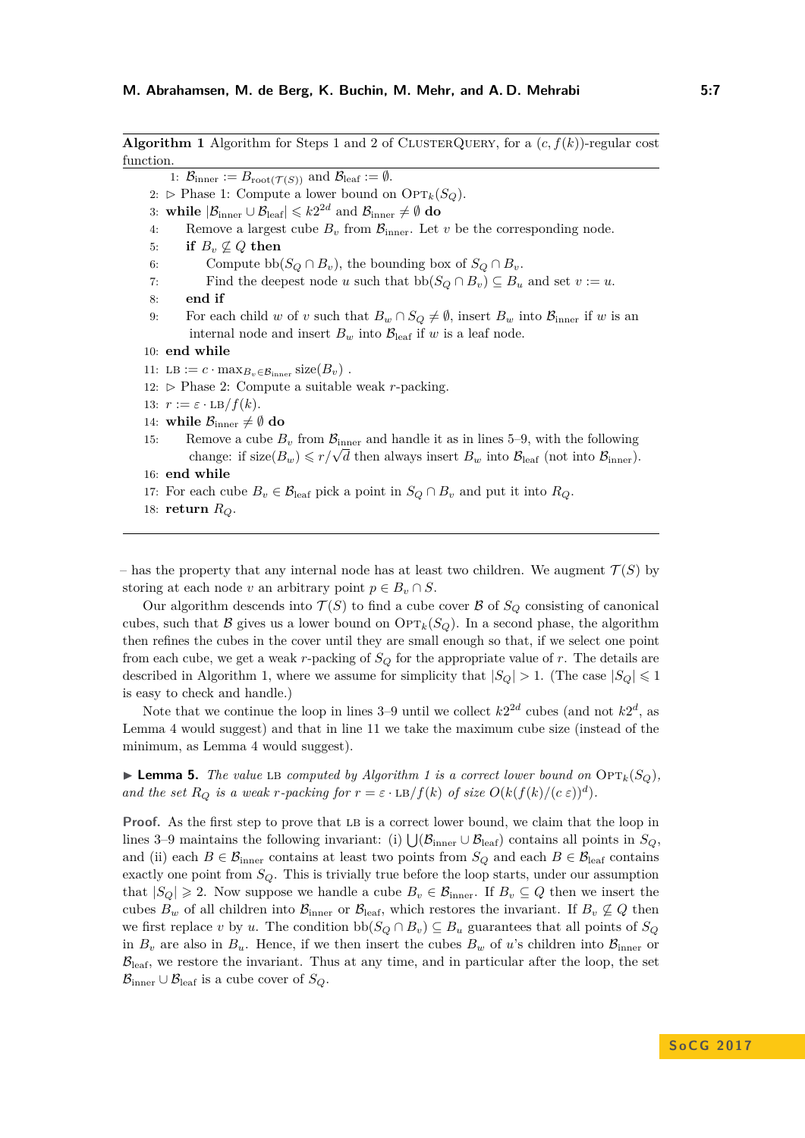<span id="page-6-0"></span>**Algorithm [1](#page-4-0)** Algorithm for Steps 1 and [2](#page-4-0) of CLUSTERQUERY, for a  $(c, f(k))$ -regular cost function. 1:  $\mathcal{B}_{\text{inner}} := B_{\text{root}(\mathcal{T}(S))}$  and  $\mathcal{B}_{\text{leaf}} := \emptyset$ . 2:  $\triangleright$  Phase 1: Compute a lower bound on  $\text{OPT}_k(S_Q)$ . 3: while  $|\mathcal{B}_{\text{inner}} \cup \mathcal{B}_{\text{leaf}}| \leqslant k2^{2d} \text{ and } \mathcal{B}_{\text{inner}} \neq \emptyset \textbf{ do}$ 4: Remove a largest cube  $B_v$  from  $\mathcal{B}_{\text{inner}}$ . Let  $v$  be the corresponding node. 5: **if**  $B_v \nsubseteq Q$  then 6: Compute  $\text{bb}(S_Q \cap B_v)$ , the bounding box of  $S_Q \cap B_v$ . 7: Find the deepest node *u* such that  $\text{bb}(S_Q \cap B_v) \subseteq B_u$  and set  $v := u$ . 8: **end if** 9: For each child *w* of *v* such that  $B_w \cap S_Q \neq \emptyset$ , insert  $B_w$  into  $\mathcal{B}_{\text{inner}}$  if *w* is an internal node and insert  $B_w$  into  $B_{\text{leaf}}$  if *w* is a leaf node. 10: **end while** 11: LB :=  $c \cdot \max_{B_v \in \mathcal{B}_{\text{inner}}} \text{size}(B_v)$ . 12:  $\triangleright$  Phase 2: Compute a suitable weak *r*-packing. 13:  $r := \varepsilon \cdot \text{LB}/f(k)$ . 14: **while**  $\mathcal{B}_{\text{inner}} \neq \emptyset$  do 15: Remove a cube  $B_v$  from  $B_{\text{inner}}$  and handle it as in lines [5–9,](#page-4-1) with the following change: if size $(B_w) \leq r/\sqrt{d}$  then always insert  $B_w$  into  $B_{\text{leaf}}$  (not into  $B_{\text{inner}}$ ). 16: **end while** 17: For each cube  $B_v \in \mathcal{B}_{\text{leaf}}$  pick a point in  $S_Q \cap B_v$  and put it into  $R_Q$ . 18: **return** *RQ*.

– has the property that any internal node has at least two children. We augment  $\mathcal{T}(S)$  by storing at each node *v* an arbitrary point  $p \in B_v \cap S$ .

Our algorithm descends into  $\mathcal{T}(S)$  to find a cube cover  $\mathcal{B}$  of  $S_Q$  consisting of canonical cubes, such that B gives us a lower bound on  $\text{OPT}_k(S_Q)$ . In a second phase, the algorithm then refines the cubes in the cover until they are small enough so that, if we select one point from each cube, we get a weak *r*-packing of  $S_Q$  for the appropriate value of *r*. The details are described in Algorithm [1,](#page-6-0) where we assume for simplicity that  $|S_Q| > 1$ . (The case  $|S_Q| \leq 1$ is easy to check and handle.)

Note that we continue the loop in lines  $3-9$  until we collect  $k2^{2d}$  cubes (and not  $k2^d$ , as Lemma [4](#page-4-1) would suggest) and that in line [11](#page-4-1) we take the maximum cube size (instead of the minimum, as Lemma [4](#page-4-1) would suggest).

<span id="page-6-1"></span> $\blacktriangleright$  **Lemma 5.** *The value* LB *computed by Algorithm [1](#page-6-0) is a correct lower bound on*  $\text{OPT}_k(S_Q)$ *, and the set*  $R_Q$  *is a weak r-packing for*  $r = \varepsilon \cdot \text{LB}/f(k)$  *of size*  $O(k(f(k)/(c \varepsilon))^d)$ .

**Proof.** As the first step to prove that LB is a correct lower bound, we claim that the loop in lines [3–9](#page-4-1) maintains the following invariant: (i)  $\bigcup (\mathcal{B}_{\text{inner}} \cup \mathcal{B}_{\text{leaf}})$  contains all points in  $S_Q$ , and (ii) each  $B \in \mathcal{B}_{\text{inner}}$  contains at least two points from  $S_Q$  and each  $B \in \mathcal{B}_{\text{leaf}}$  contains exactly one point from  $S_Q$ . This is trivially true before the loop starts, under our assumption that  $|S_Q| \geq 2$ . Now suppose we handle a cube  $B_v \in \mathcal{B}_{\text{inner}}$ . If  $B_v \subseteq Q$  then we insert the cubes  $B_w$  of all children into  $B_{\text{inner}}$  or  $B_{\text{leaf}}$ , which restores the invariant. If  $B_v \not\subseteq Q$  then we first replace *v* by *u*. The condition  $\text{bb}(S_Q \cap B_v) \subseteq B_u$  guarantees that all points of  $S_Q$ in  $B_v$  are also in  $B_u$ . Hence, if we then insert the cubes  $B_w$  of *u*'s children into  $B_{\text{inner}}$  or  $\mathcal{B}_{\text{leaf}}$ , we restore the invariant. Thus at any time, and in particular after the loop, the set  $\mathcal{B}_{\text{inner}} \cup \mathcal{B}_{\text{leaf}}$  is a cube cover of  $S_Q$ .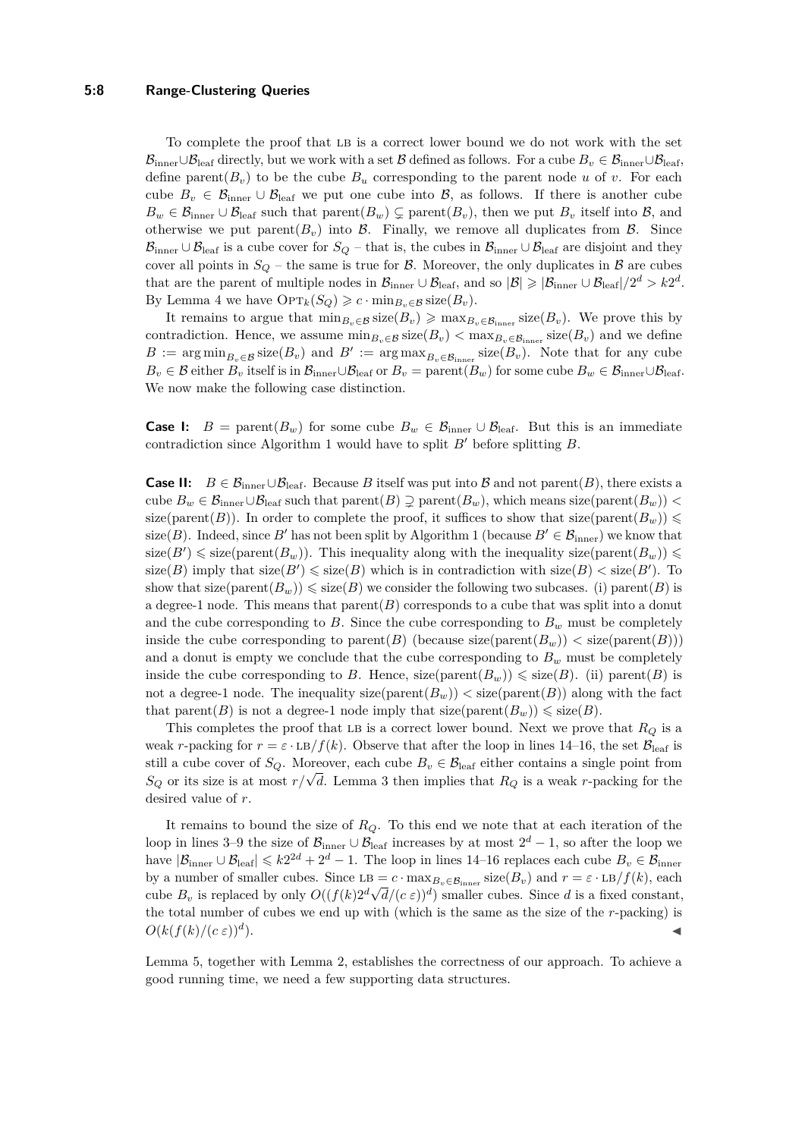#### **5:8 Range-Clustering Queries**

To complete the proof that LB is a correct lower bound we do not work with the set  $\mathcal{B}_{\text{inner}} \cup \mathcal{B}_{\text{leaf}}$  directly, but we work with a set B defined as follows. For a cube  $B_v \in \mathcal{B}_{\text{inner}} \cup \mathcal{B}_{\text{leaf}}$ , define parent $(B_v)$  to be the cube  $B_u$  corresponding to the parent node *u* of *v*. For each cube  $B_v \in \mathcal{B}_{\text{inner}} \cup \mathcal{B}_{\text{leaf}}$  we put one cube into  $\mathcal{B}_{\text{real}}$ , as follows. If there is another cube  $B_w \in \mathcal{B}_{\text{inner}} \cup \mathcal{B}_{\text{leaf}}$  such that parent $(B_w) \subsetneq \text{parent}(B_v)$ , then we put  $B_v$  itself into  $\mathcal{B}_{\text{real}}$ , and otherwise we put parent $(B_v)$  into B. Finally, we remove all duplicates from B. Since  $\mathcal{B}_{\text{inner}} \cup \mathcal{B}_{\text{leaf}}$  is a cube cover for  $S_Q$  – that is, the cubes in  $\mathcal{B}_{\text{inner}} \cup \mathcal{B}_{\text{leaf}}$  are disjoint and they cover all points in  $S_Q$  – the same is true for  $\beta$ . Moreover, the only duplicates in  $\beta$  are cubes that are the parent of multiple nodes in  $\mathcal{B}_{\text{inner}} \cup \mathcal{B}_{\text{leaf}}$ , and so  $|\mathcal{B}| \geq |\mathcal{B}_{\text{inner}} \cup \mathcal{B}_{\text{leaf}}|/2^d > k2^d$ . By Lemma [4](#page-4-1) we have  $\text{OPT}_k(S_Q) \geqslant c \cdot \min_{B_v \in \mathcal{B}} \text{size}(B_v)$ .

It remains to argue that  $\min_{B_v \in \mathcal{B}} \text{size}(B_v) \geq \max_{B_v \in \mathcal{B}_{\text{inner}}} \text{size}(B_v)$ . We prove this by contradiction. Hence, we assume  $\min_{B_v \in \mathcal{B}} \text{size}(B_v) < \max_{B_v \in \mathcal{B}_{inner}} \text{size}(B_v)$  and we define  $B := \arg \min_{B_v \in \mathcal{B}} \text{size}(B_v)$  and  $B' := \arg \max_{B_v \in \mathcal{B}_{\text{inner}}} \text{size}(B_v)$ . Note that for any cube  $B_v \in \mathcal{B}$  either  $B_v$  itself is in  $\mathcal{B}_{\text{inner}} \cup \mathcal{B}_{\text{leaf}}$  or  $B_v = \text{parent}(B_w)$  for some cube  $B_w \in \mathcal{B}_{\text{inner}} \cup \mathcal{B}_{\text{leaf}}$ . We now make the following case distinction.

**Case I:**  $B = \text{parent}(B_w)$  for some cube  $B_w \in \mathcal{B}_{\text{inner}} \cup \mathcal{B}_{\text{leaf}}$ . But this is an immediate contradiction since Algorithm [1](#page-6-0) would have to split  $B'$  before splitting  $B$ .

**Case II:**  $B \in \mathcal{B}_{\text{inner}} \cup \mathcal{B}_{\text{leaf}}$ . Because *B* itself was put into *B* and not parent(*B*), there exists a cube  $B_w \in \mathcal{B}_{\text{inner}} \cup \mathcal{B}_{\text{leaf}}$  such that parent $(B) \supsetneq \text{parent}(B_w)$ , which means size(parent $(B_w)$ ) < size(parent(*B*)). In order to complete the proof, it suffices to show that size(parent( $B_w$ ))  $\leq$ size(*B*). Indeed, since *B*<sup>*i*</sup> has not been split by Algorithm [1](#page-6-0) (because  $B' \in \mathcal{B}_{\text{inner}}$ ) we know that  $size(B') \leq size(parent(B_w))$ . This inequality along with the inequality size(parent( $B_w$ ))  $\leq$  $size(B)$  imply that  $size(B') \leq size(B)$  which is in contradiction with  $size(B) < size(B')$ . To show that size(parent $(B_w)$ )  $\leq$  size(*B*) we consider the following two subcases. (i) parent(*B*) is a degree-1 node. This means that  $\text{parent}(B)$  corresponds to a cube that was split into a donut and the cube corresponding to  $B$ . Since the cube corresponding to  $B<sub>w</sub>$  must be completely inside the cube corresponding to parent(*B*) (because size(parent( $B_w$ ))  $\langle$  size(parent(*B*))) and a donut is empty we conclude that the cube corresponding to  $B_w$  must be completely inside the cube corresponding to *B*. Hence, size(parent $(B_w)$ )  $\leq$  size(*B*). (ii) parent(*B*) is not a degree-1 node. The inequality  $size(parent(B_w)) < size(parent(B))$  along with the fact that parent(*B*) is not a degree-1 node imply that  $size(parent(B_w)) \leq size(B)$ .

This completes the proof that LB is a correct lower bound. Next we prove that  $R_Q$  is a weak *r*-packing for  $r = \varepsilon \cdot \text{LB}/f(k)$ . Observe that after the loop in lines [14–16,](#page-4-1) the set  $\mathcal{B}_{\text{leaf}}$  is still a cube cover of  $S_Q$ . Moreover, each cube  $B_v \in \mathcal{B}_{\text{leaf}}$  either contains a single point from *S*<sup>*Q*</sup> or its size is at most *r*/ $\sqrt{d}$ . Lemma [3](#page-4-2) then implies that *R*<sup>*Q*</sup> is a weak *r*-packing for the desired value of *r*.

It remains to bound the size of *RQ*. To this end we note that at each iteration of the loop in lines [3–9](#page-4-1) the size of  $\mathcal{B}_{\text{inner}} \cup \mathcal{B}_{\text{leaf}}$  increases by at most  $2^d - 1$ , so after the loop we have  $|\mathcal{B}_{\text{inner}} \cup \mathcal{B}_{\text{leaf}}| \leq k2^{2d} + 2^d - 1$ . The loop in lines [14–16](#page-4-1) replaces each cube  $B_v \in \mathcal{B}_{\text{inner}}$ by a number of smaller cubes. Since  $LB = c \cdot \max_{B_v \in \mathcal{B}_{\text{inner}}} \text{size}(B_v)$  and  $r = \varepsilon \cdot LB/f(k)$ , each cube  $B_v$  is replaced by only  $O((f(k)2^d \sqrt{d}/(c \epsilon))^d)$  smaller cubes. Since *d* is a fixed constant, the total number of cubes we end up with (which is the same as the size of the *r*-packing) is  $O(k(f(k)/(c \varepsilon))^d)$ .  $\blacksquare$ ).

Lemma [5,](#page-6-1) together with Lemma [2,](#page-4-3) establishes the correctness of our approach. To achieve a good running time, we need a few supporting data structures.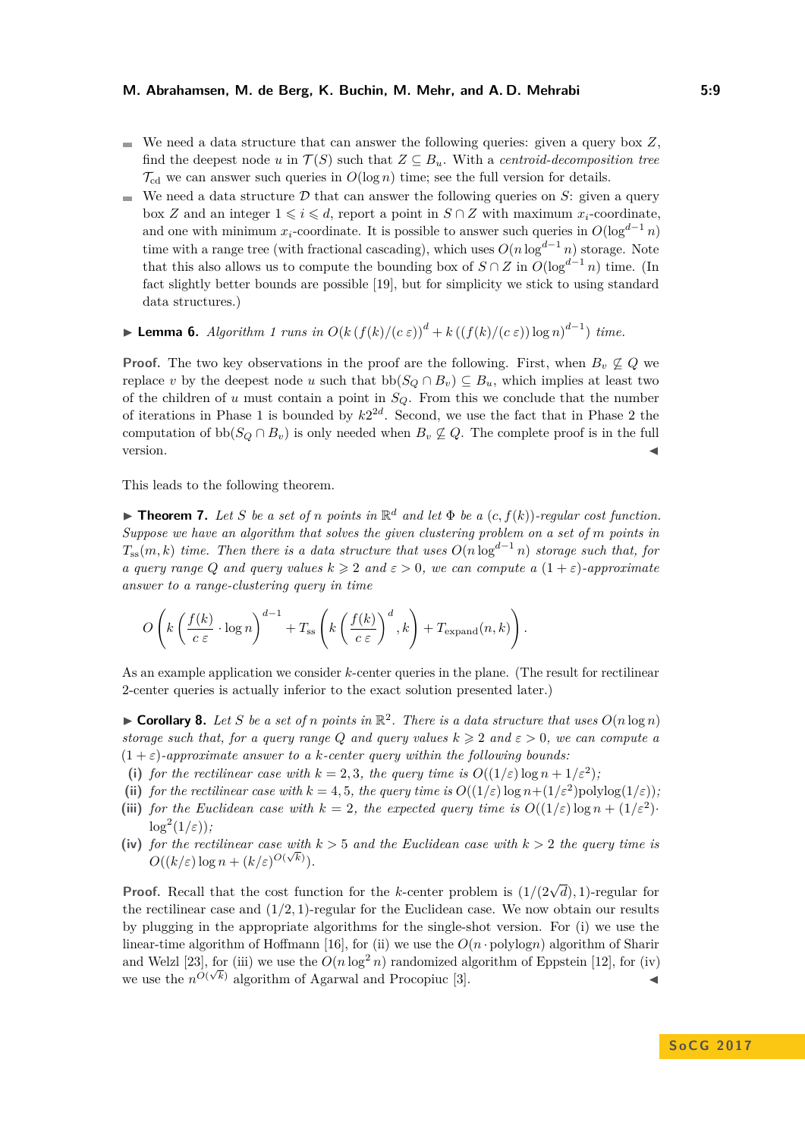#### **M. Abrahamsen, M. de Berg, K. Buchin, M. Mehr, and A. D. Mehrabi 5:9**

- We need a data structure that can answer the following queries: given a query box  $Z$ , find the deepest node *u* in  $\mathcal{T}(S)$  such that  $Z \subseteq B_u$ . With a *centroid-decomposition tree*  $\mathcal{T}_{\text{cd}}$  we can answer such queries in  $O(\log n)$  time; see the full version for details.
- We need a data structure  $D$  that can answer the following queries on  $S$ : given a query  $\overline{a}$ box *Z* and an integer  $1 \leq i \leq d$ , report a point in *S* ∩ *Z* with maximum *x*<sub>*i*</sub>-coordinate, and one with minimum *x*<sub>i</sub>-coordinate. It is possible to answer such queries in  $O(\log^{d-1} n)$ time with a range tree (with fractional cascading), which uses  $O(n \log^{d-1} n)$  storage. Note that this also allows us to compute the bounding box of  $S \cap Z$  in  $O(\log^{d-1} n)$  time. (In fact slightly better bounds are possible [\[19\]](#page-15-5), but for simplicity we stick to using standard data structures.)
- $\blacktriangleright$  **Lemma 6.** *Algorithm [1](#page-6-0) runs in*  $O(k(f(k)/(c \varepsilon))^d + k((f(k)/(c \varepsilon))\log n)^{d-1})$  *time.*

**Proof.** The two key observations in the proof are the following. First, when  $B_v \not\subseteq Q$  we replace *v* by the deepest node *u* such that  $\text{bb}(S_Q \cap B_v) \subseteq B_u$ , which implies at least two of the children of *u* must contain a point in *SQ*. From this we conclude that the number of iterations in Phase 1 is bounded by  $k2^{2d}$ . Second, we use the fact that in Phase 2 the computation of  $\text{bb}(S_Q \cap B_v)$  is only needed when  $B_v \not\subseteq Q$ . The complete proof is in the full version.

This leads to the following theorem.

**Findment 7.** Let S be a set of *n* points in  $\mathbb{R}^d$  and let  $\Phi$  be a  $(c, f(k))$ -regular cost function. *Suppose we have an algorithm that solves the given clustering problem on a set of m points in*  $T_{ss}(m, k)$  *time. Then there is a data structure that uses*  $O(n \log^{d-1} n)$  *storage such that, for a query range Q and query values*  $k \geqslant 2$  *and*  $\varepsilon > 0$ *, we can compute a*  $(1 + \varepsilon)$ *-approximate answer to a range-clustering query in time*

$$
O\left(k\left(\frac{f(k)}{c \varepsilon} \cdot \log n\right)^{d-1} + T_{\text{ss}}\left(k\left(\frac{f(k)}{c \varepsilon}\right)^d, k\right) + T_{\text{expand}}(n, k)\right).
$$

As an example application we consider *k*-center queries in the plane. (The result for rectilinear 2-center queries is actually inferior to the exact solution presented later.)

**Corollary 8.** Let S be a set of *n* points in  $\mathbb{R}^2$ . There is a data structure that uses  $O(n \log n)$ *storage such that, for a query range Q and query values*  $k \geqslant 2$  *and*  $\varepsilon > 0$ *, we can compute a*  $(1 + \varepsilon)$ -approximate answer to a *k*-center query within the following bounds:

- (i) *for the rectilinear case with*  $k = 2, 3$ *, the query time is*  $O((1/\varepsilon) \log n + 1/\varepsilon^2)$ *;*
- (ii) *for the rectilinear case with*  $k = 4, 5$ *, the query time is*  $O((1/\varepsilon) \log n + (1/\varepsilon^2) \text{polylog}(1/\varepsilon))$ *;*
- (iii) *for the Euclidean case with*  $k = 2$ , the expected query time is  $O((1/\varepsilon) \log n + (1/\varepsilon^2))$  $\log^2(1/\varepsilon)$ );
- (iv) *for the rectilinear case with*  $k > 5$  *and the Euclidean case with*  $k > 2$  *the query time is*  $O((k/\varepsilon)\log n + (k/\varepsilon)^{O(\sqrt{k})}).$

**Proof.** Recall that the cost function for the *k*-center problem is  $(1/(2\sqrt{d}), 1)$ -regular for the rectilinear case and  $(1/2, 1)$ -regular for the Euclidean case. We now obtain our results by plugging in the appropriate algorithms for the single-shot version. For (i) we use the linear-time algorithm of Hoffmann [\[16\]](#page-14-4), for (ii) we use the  $O(n \cdot \text{polylog} n)$  algorithm of Sharir and Welzl [\[23\]](#page-15-2), for (iii) we use the  $O(n \log^2 n)$  randomized algorithm of Eppstein [\[12\]](#page-14-2), for (iv) we use the  $n^{O(\sqrt{k})}$  algorithm of Agarwal and Procopiuc [\[3\]](#page-14-14).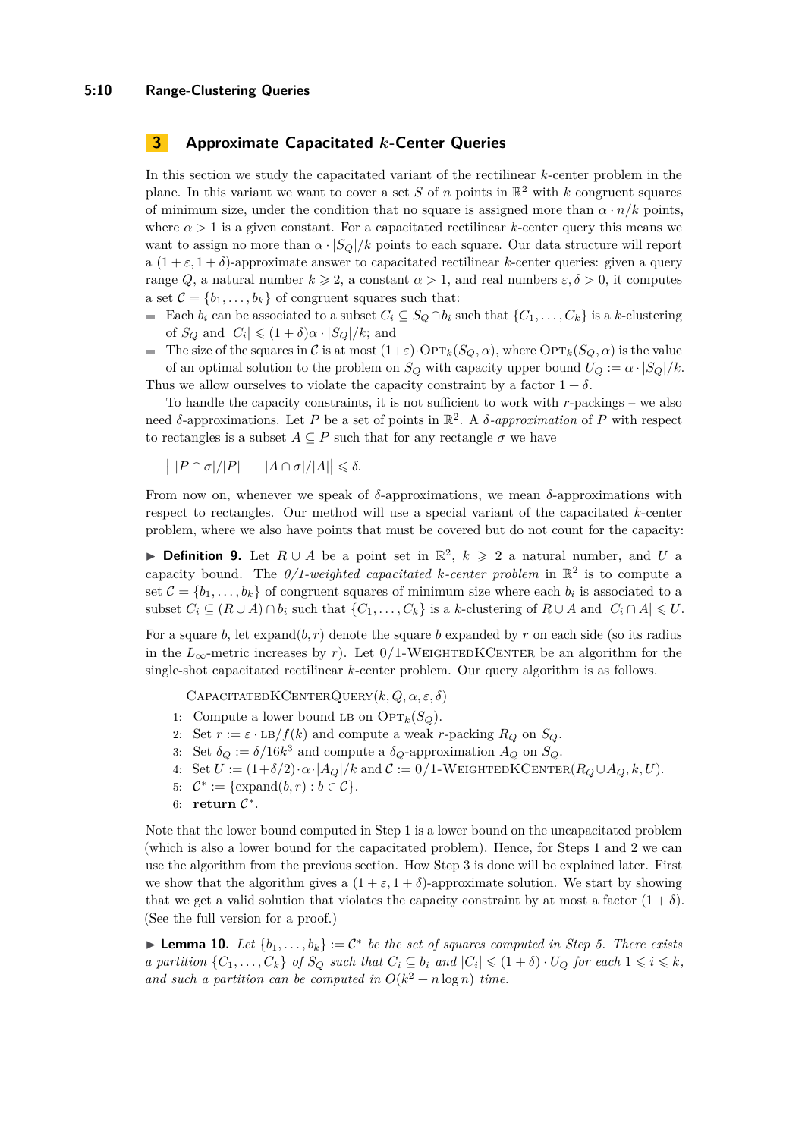#### **5:10 Range-Clustering Queries**

## **3 Approximate Capacitated** *k***-Center Queries**

In this section we study the capacitated variant of the rectilinear *k*-center problem in the plane. In this variant we want to cover a set *S* of *n* points in  $\mathbb{R}^2$  with *k* congruent squares of minimum size, under the condition that no square is assigned more than  $\alpha \cdot n/k$  points, where  $\alpha > 1$  is a given constant. For a capacitated rectilinear *k*-center query this means we want to assign no more than  $\alpha \cdot |S_O|/k$  points to each square. Our data structure will report a  $(1 + \varepsilon, 1 + \delta)$ -approximate answer to capacitated rectilinear *k*-center queries: given a query range *Q*, a natural number  $k \ge 2$ , a constant  $\alpha > 1$ , and real numbers  $\varepsilon, \delta > 0$ , it computes a set  $\mathcal{C} = \{b_1, \ldots, b_k\}$  of congruent squares such that:

- Each  $b_i$  can be associated to a subset  $C_i \subseteq S_Q \cap b_i$  such that  $\{C_1, \ldots, C_k\}$  is a *k*-clustering of  $S_Q$  and  $|C_i| \leq (1 + \delta)\alpha \cdot |S_Q|/k$ ; and
- The size of the squares in C is at most  $(1+\varepsilon)\cdot \text{OPT}_k(S_Q, \alpha)$ , where  $\text{OPT}_k(S_Q, \alpha)$  is the value  $\blacksquare$ of an optimal solution to the problem on  $S_Q$  with capacity upper bound  $U_Q := \alpha \cdot |S_Q|/k$ . Thus we allow ourselves to violate the capacity constraint by a factor  $1 + \delta$ .

To handle the capacity constraints, it is not sufficient to work with *r*-packings – we also need *δ*-approximations. Let *P* be a set of points in  $\mathbb{R}^2$ . A *δ*-approximation of *P* with respect to rectangles is a subset  $A \subseteq P$  such that for any rectangle  $\sigma$  we have

$$
\left| \left| P \cap \sigma \right| / |P| - \left| A \cap \sigma \right| / |A| \right| \leq \delta.
$$

From now on, whenever we speak of  $\delta$ -approximations, we mean  $\delta$ -approximations with respect to rectangles. Our method will use a special variant of the capacitated *k*-center problem, where we also have points that must be covered but do not count for the capacity:

<span id="page-9-0"></span>**Definition 9.** Let  $R \cup A$  be a point set in  $\mathbb{R}^2$ ,  $k \ge 2$  a natural number, and *U* a capacity bound. The  $0/1$ -weighted capacitated k-center problem in  $\mathbb{R}^2$  is to compute a set  $\mathcal{C} = \{b_1, \ldots, b_k\}$  of congruent squares of minimum size where each  $b_i$  is associated to a subset  $C_i \subseteq (R \cup A) \cap b_i$  such that  $\{C_1, \ldots, C_k\}$  is a *k*-clustering of  $R \cup A$  and  $|C_i \cap A| \leq U$ .

For a square *b*, let  $\exp(\mathbf{a}(h, r))$  denote the square *b* expanded by *r* on each side (so its radius in the  $L_{\infty}$ -metric increases by *r*). Let 0/1-WEIGHTEDKCENTER be an algorithm for the single-shot capacitated rectilinear *k*-center problem. Our query algorithm is as follows.

CapacitatedKCenterQuery(*k, Q, α, ε, δ*)

- 1: Compute a lower bound LB on  $\text{OPT}_k(S_Q)$ .
- 2: Set  $r := \varepsilon \cdot \text{LB}/f(k)$  and compute a weak *r*-packing  $R_Q$  on  $S_Q$ .
- 3: Set  $\delta_Q := \delta/16k^3$  and compute a  $\delta_Q$ -approximation  $A_Q$  on  $S_Q$ .
- 4: Set  $U := (1+\delta/2) \cdot \alpha \cdot |A_O|/k$  and  $C := 0/1$ -WEIGHTEDKCENTER( $R_O \cup A_O, k, U$ ).
- 5:  $C^* := \{ \text{expand}(b, r) : b \in C \}.$
- 6: **return**  $\mathcal{C}^*$ .

Note that the lower bound computed in Step [1](#page-9-0) is a lower bound on the uncapacitated problem (which is also a lower bound for the capacitated problem). Hence, for Steps [1](#page-9-0) and [2](#page-9-0) we can use the algorithm from the previous section. How Step [3](#page-9-0) is done will be explained later. First we show that the algorithm gives a  $(1 + \varepsilon, 1 + \delta)$ -approximate solution. We start by showing that we get a valid solution that violates the capacity constraint by at most a factor  $(1 + \delta)$ . (See the full version for a proof.)

<span id="page-9-1"></span>► **Lemma 10.** *Let*  $\{b_1, \ldots, b_k\} := C^*$  *be the set of squares computed in Step [5.](#page-9-0) There exists* a partition  $\{C_1,\ldots,C_k\}$  of  $S_Q$  such that  $C_i \subseteq b_i$  and  $|C_i| \leq (1+\delta) \cdot U_Q$  for each  $1 \leq i \leq k$ , and such a partition can be computed in  $O(k^2 + n \log n)$  time.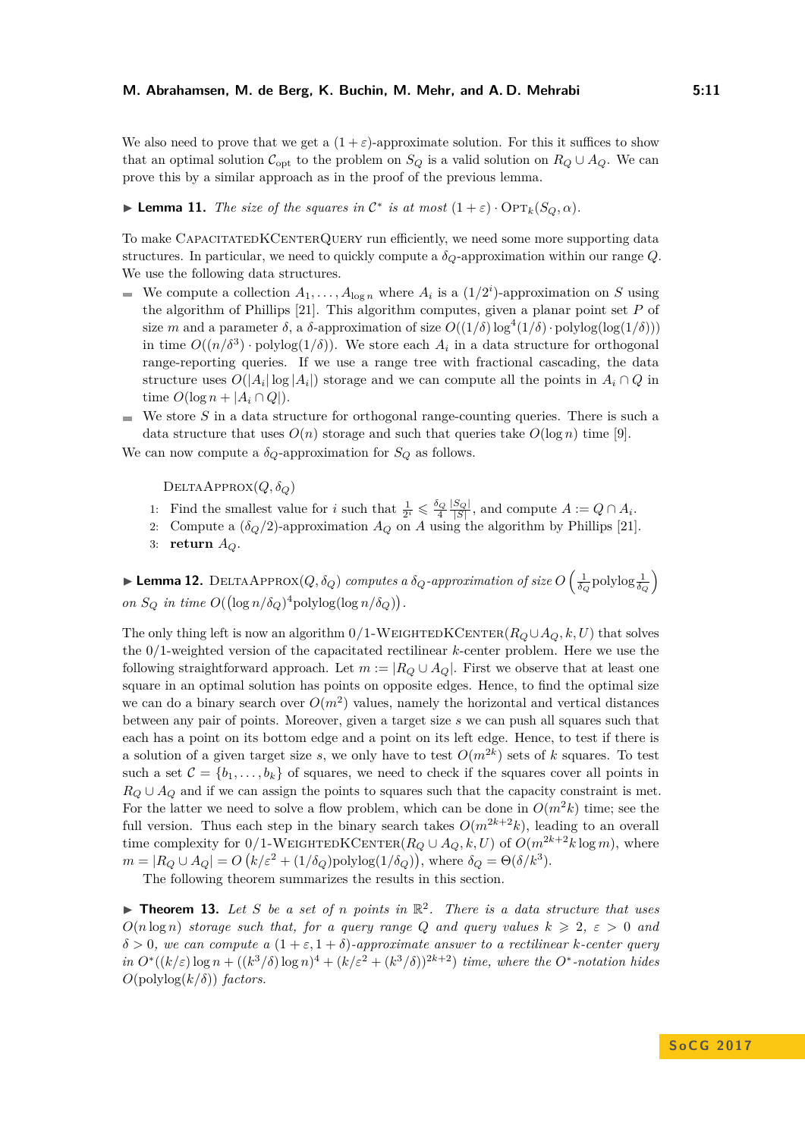We also need to prove that we get a  $(1+\varepsilon)$ -approximate solution. For this it suffices to show that an optimal solution  $\mathcal{C}_{opt}$  to the problem on  $S_Q$  is a valid solution on  $R_Q \cup A_Q$ . We can prove this by a similar approach as in the proof of the previous lemma.

# ► **Lemma 11.** *The size of the squares in*  $\mathcal{C}^*$  *is at most*  $(1+\varepsilon) \cdot \text{OPT}_k(S_Q, \alpha)$ *.*

To make CAPACITATEDKCENTERQUERY run efficiently, we need some more supporting data structures. In particular, we need to quickly compute a  $\delta_Q$ -approximation within our range  $Q$ . We use the following data structures.

- We compute a collection  $A_1, \ldots, A_{\log n}$  where  $A_i$  is a  $(1/2^i)$ -approximation on *S* using the algorithm of Phillips [\[21\]](#page-15-6). This algorithm computes, given a planar point set *P* of size *m* and a parameter  $\delta$ , a  $\delta$ -approximation of size  $O((1/\delta) \log^4(1/\delta) \cdot \text{polylog}(\log(1/\delta)))$ in time  $O((n/\delta^3) \cdot \text{polylog}(1/\delta))$ . We store each  $A_i$  in a data structure for orthogonal range-reporting queries. If we use a range tree with fractional cascading, the data structure uses  $O(|A_i| \log |A_i|)$  storage and we can compute all the points in  $A_i \cap Q$  in time  $O(\log n + |A_i \cap Q|)$ .
- $\blacksquare$  We store *S* in a data structure for orthogonal range-counting queries. There is such a data structure that uses  $O(n)$  storage and such that queries take  $O(\log n)$  time [\[9\]](#page-14-15).

We can now compute a  $\delta_Q$ -approximation for  $S_Q$  as follows.

 $DELTAAPPROX(Q, \delta_Q)$ 

- 1: Find the smallest value for *i* such that  $\frac{1}{2^i} \leq \frac{\delta_Q}{4} \frac{|S_Q|}{|S|}$ , and compute  $A := Q \cap A_i$ .
- 2: Compute a  $(\delta_Q/2)$ -approximation  $A_Q$  on  $A$  using the algorithm by Phillips [\[21\]](#page-15-6).
- 3: **return** *AQ*.

 $\blacktriangleright$  **Lemma 12.** DELTAAPPROX $(Q, \delta_Q)$  computes a  $\delta_Q$ -approximation of size  $O\left(\frac{1}{\delta_Q}\text{polylog}\frac{1}{\delta_Q}\right)$ *on*  $S_Q$  *in time*  $O((\log n/\delta_Q)^4 \text{polylog}(\log n/\delta_Q)).$ 

The only thing left is now an algorithm  $0/1$ -WEIGHTEDKCENTER( $R_Q \cup A_Q, k, U$ ) that solves the 0/1-weighted version of the capacitated rectilinear *k*-center problem. Here we use the following straightforward approach. Let  $m := |R_Q \cup A_Q|$ . First we observe that at least one square in an optimal solution has points on opposite edges. Hence, to find the optimal size we can do a binary search over  $O(m^2)$  values, namely the horizontal and vertical distances between any pair of points. Moreover, given a target size *s* we can push all squares such that each has a point on its bottom edge and a point on its left edge. Hence, to test if there is a solution of a given target size *s*, we only have to test  $O(m^{2k})$  sets of *k* squares. To test such a set  $\mathcal{C} = \{b_1, \ldots, b_k\}$  of squares, we need to check if the squares cover all points in  $R_Q \cup A_Q$  and if we can assign the points to squares such that the capacity constraint is met. For the latter we need to solve a flow problem, which can be done in  $O(m^2k)$  time; see the full version. Thus each step in the binary search takes  $O(m^{2k+2}k)$ , leading to an overall time complexity for  $0/1$ -WEIGHTEDKCENTER( $R_Q \cup A_Q, k, U$ ) of  $O(m^{2k+2}k \log m)$ , where  $m = |R_Q \cup A_Q| = O\left(k/\varepsilon^2 + (1/\delta_Q) \text{polylog}(1/\delta_Q)\right)$ , where  $\delta_Q = \Theta(\delta/k^3)$ .

The following theorem summarizes the results in this section.

**Theorem 13.** Let S be a set of *n* points in  $\mathbb{R}^2$ . There is a data structure that uses  $O(n \log n)$  *storage such that, for a query range Q and query values*  $k \geq 2$ ,  $\varepsilon > 0$  *and*  $\delta > 0$ , we can compute a  $(1 + \varepsilon, 1 + \delta)$ -approximate answer to a rectilinear *k*-center query  $\int \sin O^{*}((k/\varepsilon) \log n + ((k^{3}/\delta) \log n)^{4} + (k/\varepsilon^{2} + (k^{3}/\delta))^{2k+2})$  *time, where the O*<sup>\*</sup>-notation hides  $O(\text{polylog}(k/\delta))$  *factors.*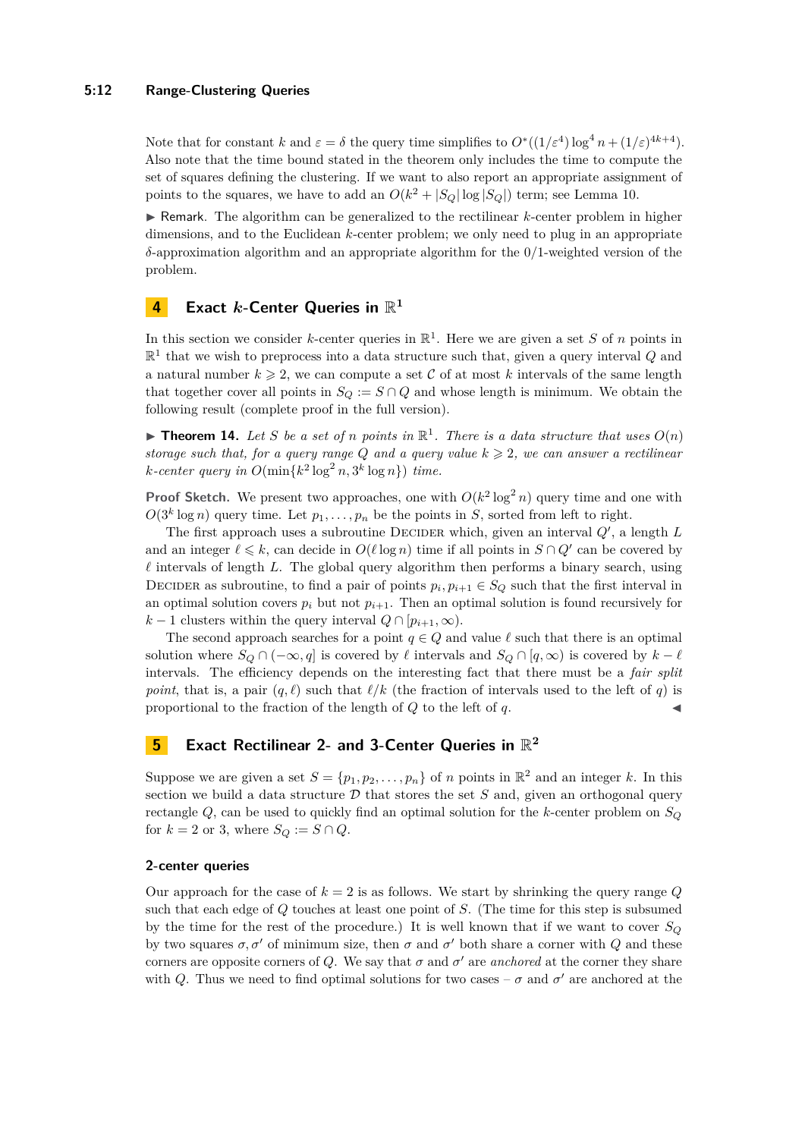#### **5:12 Range-Clustering Queries**

Note that for constant *k* and  $\varepsilon = \delta$  the query time simplifies to  $O^*((1/\varepsilon^4) \log^4 n + (1/\varepsilon)^{4k+4})$ . Also note that the time bound stated in the theorem only includes the time to compute the set of squares defining the clustering. If we want to also report an appropriate assignment of points to the squares, we have to add an  $O(k^2 + |S_Q| \log |S_Q|)$  term; see Lemma [10.](#page-9-1)

 $\blacktriangleright$  Remark. The algorithm can be generalized to the rectilinear *k*-center problem in higher dimensions, and to the Euclidean *k*-center problem; we only need to plug in an appropriate *δ*-approximation algorithm and an appropriate algorithm for the 0/1-weighted version of the problem.

# **4 Exact** *k***-Center Queries in** R **1**

In this section we consider *k*-center queries in  $\mathbb{R}^1$ . Here we are given a set *S* of *n* points in  $\mathbb{R}^1$  that we wish to preprocess into a data structure such that, given a query interval  $Q$  and a natural number  $k \geq 2$ , we can compute a set C of at most k intervals of the same length that together cover all points in  $S_Q := S \cap Q$  and whose length is minimum. We obtain the following result (complete proof in the full version).

**Find 14.** Let S be a set of *n* points in  $\mathbb{R}^1$ . There is a data structure that uses  $O(n)$ *storage such that, for a query range*  $Q$  *and a query value*  $k \geq 2$ *, we can answer a rectilinear*  $k$ -center query in  $O(\min\{k^2 \log^2 n, 3^k \log n\})$  time.

**Proof Sketch.** We present two approaches, one with  $O(k^2 \log^2 n)$  query time and one with  $O(3^k \log n)$  query time. Let  $p_1, \ldots, p_n$  be the points in *S*, sorted from left to right.

The first approach uses a subroutine DECIDER which, given an interval  $Q'$ , a length  $L$ and an integer  $\ell \leq k$ , can decide in  $O(\ell \log n)$  time if all points in  $S \cap Q'$  can be covered by  $\ell$  intervals of length *L*. The global query algorithm then performs a binary search, using DECIDER as subroutine, to find a pair of points  $p_i, p_{i+1} \in S_Q$  such that the first interval in an optimal solution covers  $p_i$  but not  $p_{i+1}$ . Then an optimal solution is found recursively for  $k-1$  clusters within the query interval  $Q \cap [p_{i+1}, \infty)$ .

The second approach searches for a point  $q \in Q$  and value  $\ell$  such that there is an optimal solution where  $S_Q \cap (-\infty, q]$  is covered by  $\ell$  intervals and  $S_Q \cap [q, \infty)$  is covered by  $k - \ell$ intervals. The efficiency depends on the interesting fact that there must be a *fair split point*, that is, a pair  $(q, \ell)$  such that  $\ell/k$  (the fraction of intervals used to the left of *q*) is proportional to the fraction of the length of  $Q$  to the left of  $q$ .

# **5 Exact Rectilinear 2- and 3-Center Queries in** R **2**

Suppose we are given a set  $S = \{p_1, p_2, \ldots, p_n\}$  of *n* points in  $\mathbb{R}^2$  and an integer *k*. In this section we build a data structure  $D$  that stores the set  $S$  and, given an orthogonal query rectangle *Q*, can be used to quickly find an optimal solution for the *k*-center problem on *S<sup>Q</sup>* for  $k = 2$  or 3, where  $S_Q := S \cap Q$ .

#### **2-center queries**

Our approach for the case of  $k = 2$  is as follows. We start by shrinking the query range  $Q$ such that each edge of *Q* touches at least one point of *S*. (The time for this step is subsumed by the time for the rest of the procedure.) It is well known that if we want to cover  $S_Q$ by two squares  $\sigma$ ,  $\sigma'$  of minimum size, then  $\sigma$  and  $\sigma'$  both share a corner with *Q* and these corners are opposite corners of *Q*. We say that  $\sigma$  and  $\sigma'$  are *anchored* at the corner they share with *Q*. Thus we need to find optimal solutions for two cases –  $\sigma$  and  $\sigma'$  are anchored at the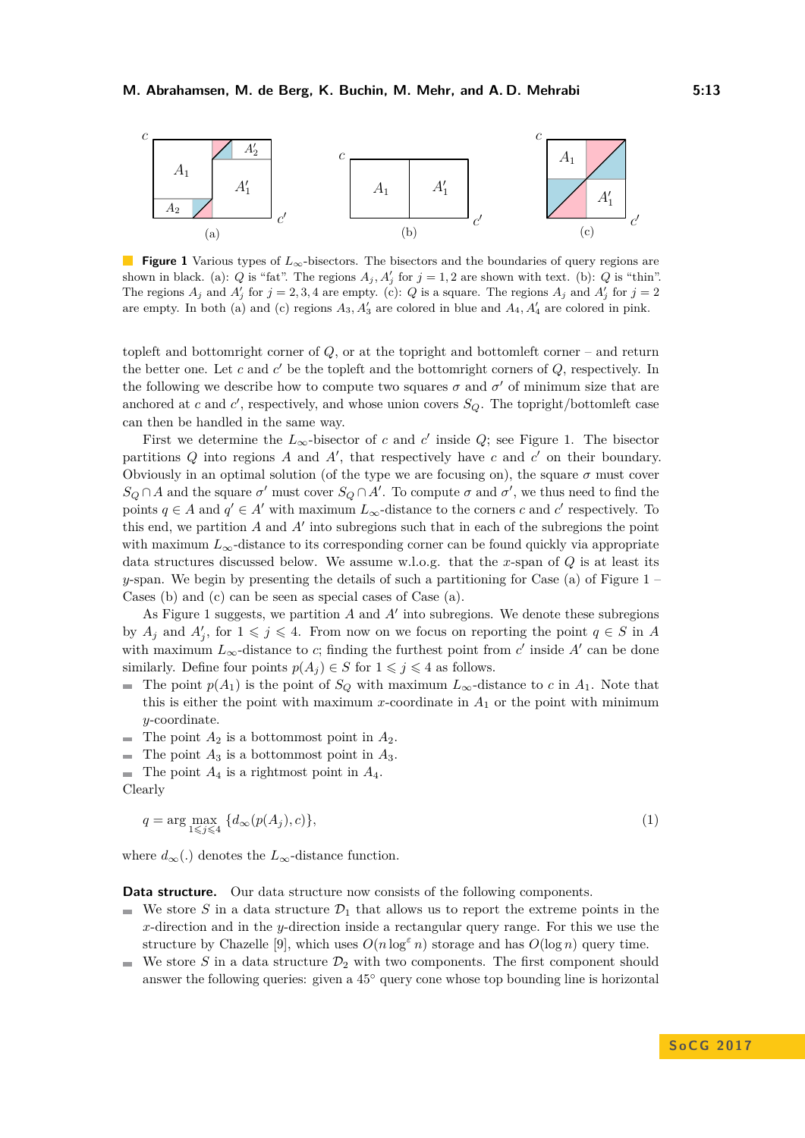<span id="page-12-0"></span>

**Figure 1** Various types of  $L_{\infty}$ -bisectors. The bisectors and the boundaries of query regions are shown in black. (a): *Q* is "fat". The regions  $A_j$ ,  $A'_j$  for  $j = 1, 2$  are shown with text. (b): *Q* is "thin". The regions  $A_j$  and  $A'_j$  for  $j = 2, 3, 4$  are empty. (c): *Q* is a square. The regions  $A_j$  and  $A'_j$  for  $j = 2$ are empty. In both (a) and (c) regions  $A_3$ ,  $A'_3$  are colored in blue and  $A_4$ ,  $A'_4$  are colored in pink.

topleft and bottomright corner of *Q*, or at the topright and bottomleft corner – and return the better one. Let  $c$  and  $c'$  be the topleft and the bottomright corners of  $Q$ , respectively. In the following we describe how to compute two squares  $\sigma$  and  $\sigma'$  of minimum size that are anchored at *c* and *c*<sup>'</sup>, respectively, and whose union covers  $S_Q$ . The topright/bottomleft case can then be handled in the same way.

First we determine the  $L_{\infty}$ -bisector of *c* and *c*' inside *Q*; see Figure [1.](#page-12-0) The bisector partitions  $Q$  into regions  $A$  and  $A'$ , that respectively have  $c$  and  $c'$  on their boundary. Obviously in an optimal solution (of the type we are focusing on), the square  $\sigma$  must cover  $S_Q \cap A$  and the square  $\sigma'$  must cover  $S_Q \cap A'$ . To compute  $\sigma$  and  $\sigma'$ , we thus need to find the points  $q \in A$  and  $q' \in A'$  with maximum  $L_{\infty}$ -distance to the corners *c* and *c*' respectively. To this end, we partition  $A$  and  $A'$  into subregions such that in each of the subregions the point with maximum  $L_{\infty}$ -distance to its corresponding corner can be found quickly via appropriate data structures discussed below. We assume w.l.o.g. that the *x*-span of *Q* is at least its *y*-span. We begin by presenting the details of such a partitioning for Case (a) of Figure [1](#page-12-0) – Cases (b) and (c) can be seen as special cases of Case (a).

As Figure [1](#page-12-0) suggests, we partition  $A$  and  $A'$  into subregions. We denote these subregions by  $A_j$  and  $A'_j$ , for  $1 \leqslant j \leqslant 4$ . From now on we focus on reporting the point  $q \in S$  in A with maximum  $L_{\infty}$ -distance to *c*; finding the furthest point from *c'* inside A' can be done similarly. Define four points  $p(A_j) \in S$  for  $1 \leq j \leq 4$  as follows.

- The point  $p(A_1)$  is the point of *S*<sup>*Q*</sup> with maximum  $L_{\infty}$ -distance to *c* in  $A_1$ . Note that this is either the point with maximum  $x$ -coordinate in  $A_1$  or the point with minimum *y*-coordinate.
- $\blacksquare$  The point  $A_2$  is a bottommost point in  $A_2$ .
- The point *A*<sup>3</sup> is a bottommost point in *A*3. ц.
- $\blacksquare$  The point  $A_4$  is a rightmost point in  $A_4$ .

Clearly

$$
q = \arg\max_{1 \leq j \leq 4} \{d_{\infty}(p(A_j), c)\},\tag{1}
$$

where  $d_{\infty}$ (.) denotes the  $L_{\infty}$ -distance function.

**Data structure.** Our data structure now consists of the following components.

- We store *S* in a data structure  $\mathcal{D}_1$  that allows us to report the extreme points in the  $\blacksquare$ *x*-direction and in the *y*-direction inside a rectangular query range. For this we use the structure by Chazelle [\[9\]](#page-14-15), which uses  $O(n \log^{\varepsilon} n)$  storage and has  $O(\log n)$  query time.
- $\blacksquare$  We store *S* in a data structure  $\mathcal{D}_2$  with two components. The first component should answer the following queries: given a 45◦ query cone whose top bounding line is horizontal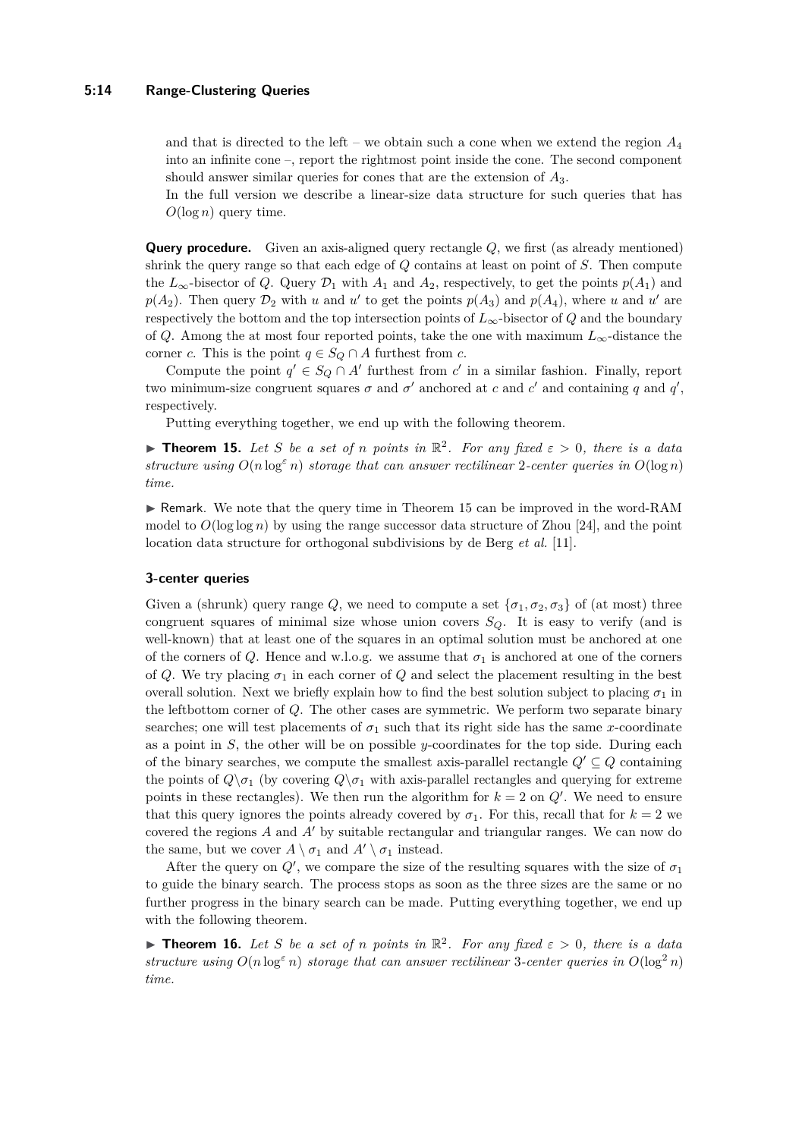and that is directed to the left – we obtain such a cone when we extend the region *A*<sup>4</sup> into an infinite cone –, report the rightmost point inside the cone. The second component should answer similar queries for cones that are the extension of *A*3.

In the full version we describe a linear-size data structure for such queries that has *O*(log *n*) query time.

**Query procedure.** Given an axis-aligned query rectangle *Q*, we first (as already mentioned) shrink the query range so that each edge of *Q* contains at least on point of *S*. Then compute the  $L_{\infty}$ -bisector of *Q*. Query  $\mathcal{D}_1$  with  $A_1$  and  $A_2$ , respectively, to get the points  $p(A_1)$  and  $p(A_2)$ . Then query  $\mathcal{D}_2$  with *u* and *u*<sup> $\prime$ </sup> to get the points  $p(A_3)$  and  $p(A_4)$ , where *u* and *u*<sup> $\prime$ </sup> are respectively the bottom and the top intersection points of  $L_{\infty}$ -bisector of *Q* and the boundary of *Q*. Among the at most four reported points, take the one with maximum  $L_{\infty}$ -distance the corner *c*. This is the point  $q \in S_Q \cap A$  furthest from *c*.

Compute the point  $q' \in S_Q \cap A'$  furthest from *c*' in a similar fashion. Finally, report two minimum-size congruent squares  $\sigma$  and  $\sigma'$  anchored at *c* and *c'* and containing *q* and *q'*, respectively.

Putting everything together, we end up with the following theorem.

<span id="page-13-0"></span>**Theorem 15.** Let S be a set of *n* points in  $\mathbb{R}^2$ . For any fixed  $\varepsilon > 0$ , there is a data *structure using*  $O(n \log^{\epsilon} n)$  *storage that can answer rectilinear* 2*-center queries in*  $O(\log n)$ *time.*

I Remark. We note that the query time in Theorem [15](#page-13-0) can be improved in the word-RAM model to  $O(\log \log n)$  by using the range successor data structure of Zhou [\[24\]](#page-15-7), and the point location data structure for orthogonal subdivisions by de Berg *et al.* [\[11\]](#page-14-16).

#### **3-center queries**

Given a (shrunk) query range *Q*, we need to compute a set  $\{\sigma_1, \sigma_2, \sigma_3\}$  of (at most) three congruent squares of minimal size whose union covers *SQ*. It is easy to verify (and is well-known) that at least one of the squares in an optimal solution must be anchored at one of the corners of *Q*. Hence and w.l.o.g. we assume that  $\sigma_1$  is anchored at one of the corners of *Q*. We try placing  $\sigma_1$  in each corner of *Q* and select the placement resulting in the best overall solution. Next we briefly explain how to find the best solution subject to placing  $\sigma_1$  in the leftbottom corner of *Q*. The other cases are symmetric. We perform two separate binary searches; one will test placements of  $\sigma_1$  such that its right side has the same *x*-coordinate as a point in *S*, the other will be on possible *y*-coordinates for the top side. During each of the binary searches, we compute the smallest axis-parallel rectangle  $Q' \subseteq Q$  containing the points of  $Q \setminus \sigma_1$  (by covering  $Q \setminus \sigma_1$  with axis-parallel rectangles and querying for extreme points in these rectangles). We then run the algorithm for  $k = 2$  on  $Q'$ . We need to ensure that this query ignores the points already covered by  $\sigma_1$ . For this, recall that for  $k = 2$  we covered the regions *A* and *A*<sup>0</sup> by suitable rectangular and triangular ranges. We can now do the same, but we cover  $A \setminus \sigma_1$  and  $A' \setminus \sigma_1$  instead.

After the query on  $Q'$ , we compare the size of the resulting squares with the size of  $\sigma_1$ to guide the binary search. The process stops as soon as the three sizes are the same or no further progress in the binary search can be made. Putting everything together, we end up with the following theorem.

<span id="page-13-1"></span>**Theorem 16.** Let S be a set of *n* points in  $\mathbb{R}^2$ . For any fixed  $\varepsilon > 0$ , there is a data *structure using*  $O(n \log^{\epsilon} n)$  *storage that can answer rectilinear* 3-center queries in  $O(\log^2 n)$ *time.*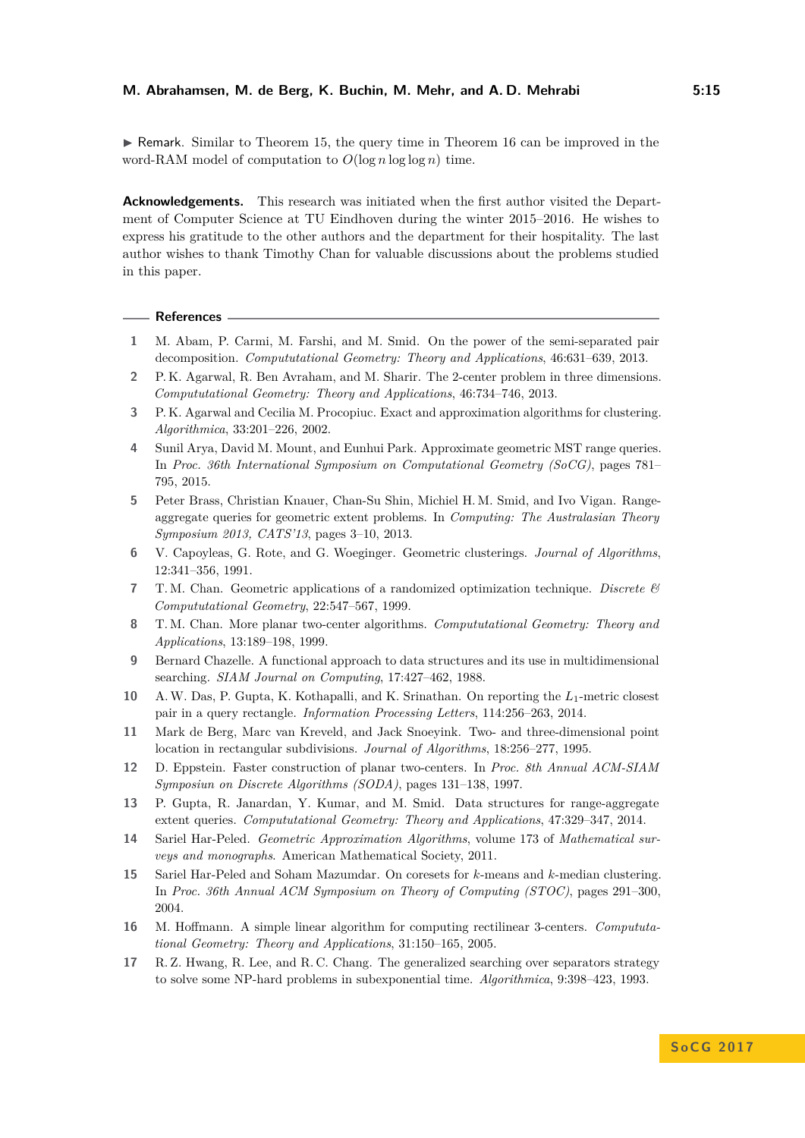$\triangleright$  Remark. Similar to Theorem [15,](#page-13-0) the query time in Theorem [16](#page-13-1) can be improved in the word-RAM model of computation to  $O(\log n \log \log n)$  time.

**Acknowledgements.** This research was initiated when the first author visited the Department of Computer Science at TU Eindhoven during the winter 2015–2016. He wishes to express his gratitude to the other authors and the department for their hospitality. The last author wishes to thank Timothy Chan for valuable discussions about the problems studied in this paper.

#### **References**

- <span id="page-14-6"></span>**1** M. Abam, P. Carmi, M. Farshi, and M. Smid. On the power of the semi-separated pair decomposition. *Compututational Geometry: Theory and Applications*, 46:631–639, 2013.
- <span id="page-14-0"></span>**2** P. K. Agarwal, R. Ben Avraham, and M. Sharir. The 2-center problem in three dimensions. *Compututational Geometry: Theory and Applications*, 46:734–746, 2013.
- <span id="page-14-14"></span>**3** P. K. Agarwal and Cecilia M. Procopiuc. Exact and approximation algorithms for clustering. *Algorithmica*, 33:201–226, 2002.
- <span id="page-14-10"></span>**4** Sunil Arya, David M. Mount, and Eunhui Park. Approximate geometric MST range queries. In *Proc. 36th International Symposium on Computational Geometry (SoCG)*, pages 781– 795, 2015.
- <span id="page-14-9"></span>**5** Peter Brass, Christian Knauer, Chan-Su Shin, Michiel H. M. Smid, and Ivo Vigan. Rangeaggregate queries for geometric extent problems. In *Computing: The Australasian Theory Symposium 2013, CATS'13*, pages 3–10, 2013.
- <span id="page-14-13"></span>**6** V. Capoyleas, G. Rote, and G. Woeginger. Geometric clusterings. *Journal of Algorithms*, 12:341–356, 1991.
- <span id="page-14-5"></span>**7** T. M. Chan. Geometric applications of a randomized optimization technique. *Discrete & Compututational Geometry*, 22:547–567, 1999.
- <span id="page-14-1"></span>**8** T. M. Chan. More planar two-center algorithms. *Compututational Geometry: Theory and Applications*, 13:189–198, 1999.
- <span id="page-14-15"></span>**9** Bernard Chazelle. A functional approach to data structures and its use in multidimensional searching. *SIAM Journal on Computing*, 17:427–462, 1988.
- <span id="page-14-7"></span>**10** A.W. Das, P. Gupta, K. Kothapalli, and K. Srinathan. On reporting the *L*1-metric closest pair in a query rectangle. *Information Processing Letters*, 114:256–263, 2014.
- <span id="page-14-16"></span>**11** Mark de Berg, Marc van Kreveld, and Jack Snoeyink. Two- and three-dimensional point location in rectangular subdivisions. *Journal of Algorithms*, 18:256–277, 1995.
- <span id="page-14-2"></span>**12** D. Eppstein. Faster construction of planar two-centers. In *Proc. 8th Annual ACM-SIAM Symposiun on Discrete Algorithms (SODA)*, pages 131–138, 1997.
- <span id="page-14-8"></span>**13** P. Gupta, R. Janardan, Y. Kumar, and M. Smid. Data structures for range-aggregate extent queries. *Compututational Geometry: Theory and Applications*, 47:329–347, 2014.
- <span id="page-14-12"></span>**14** Sariel Har-Peled. *Geometric Approximation Algorithms*, volume 173 of *Mathematical surveys and monographs*. American Mathematical Society, 2011.
- <span id="page-14-11"></span>**15** Sariel Har-Peled and Soham Mazumdar. On coresets for *k*-means and *k*-median clustering. In *Proc. 36th Annual ACM Symposium on Theory of Computing (STOC)*, pages 291–300, 2004.
- <span id="page-14-4"></span>**16** M. Hoffmann. A simple linear algorithm for computing rectilinear 3-centers. *Compututational Geometry: Theory and Applications*, 31:150–165, 2005.
- <span id="page-14-3"></span>**17** R. Z. Hwang, R. Lee, and R. C. Chang. The generalized searching over separators strategy to solve some NP-hard problems in subexponential time. *Algorithmica*, 9:398–423, 1993.